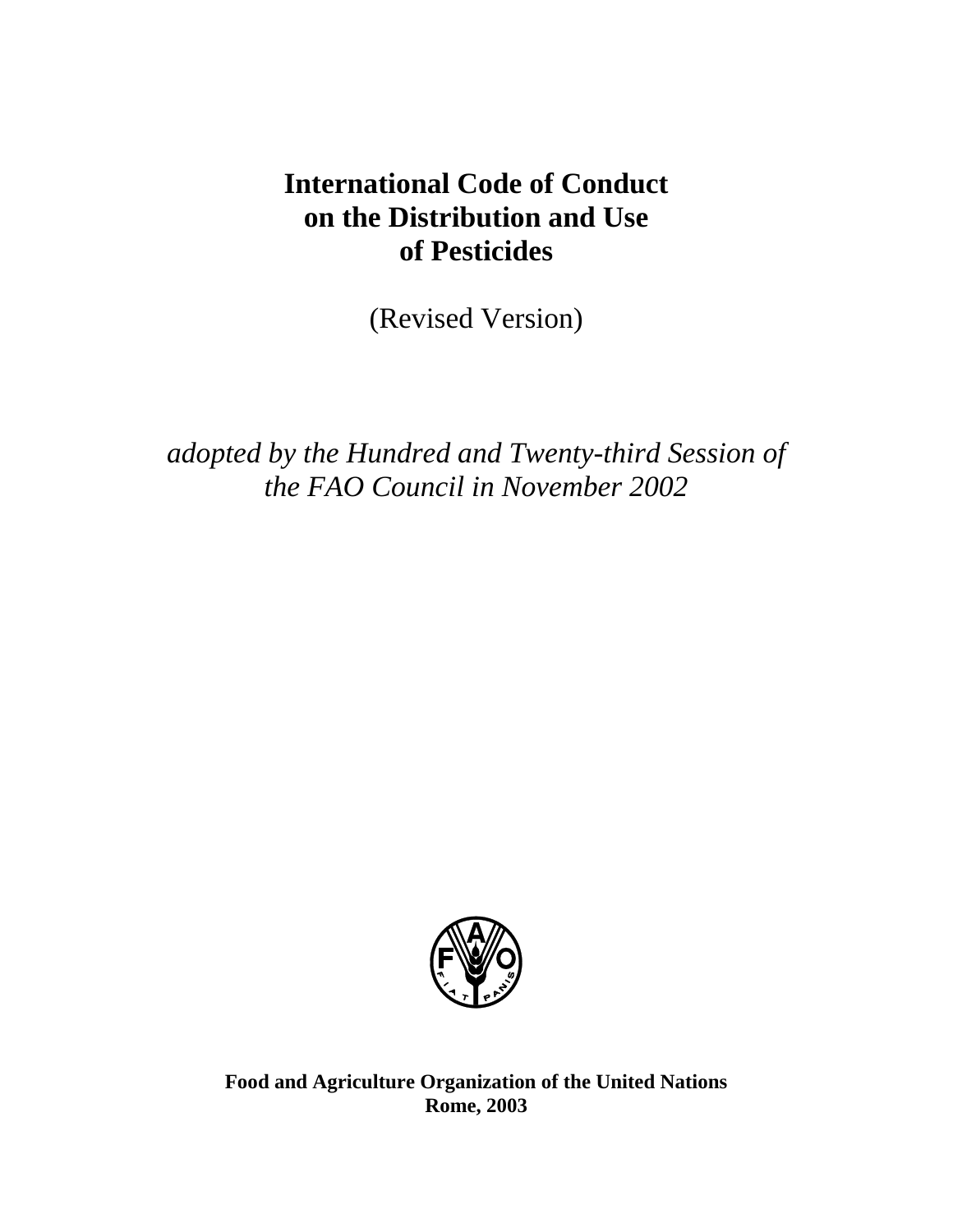# **International Code of Conduct on the Distribution and Use of Pesticides**

(Revised Version)

*adopted by the Hundred and Twenty-third Session of the FAO Council in November 2002* 



**Food and Agriculture Organization of the United Nations Rome, 2003**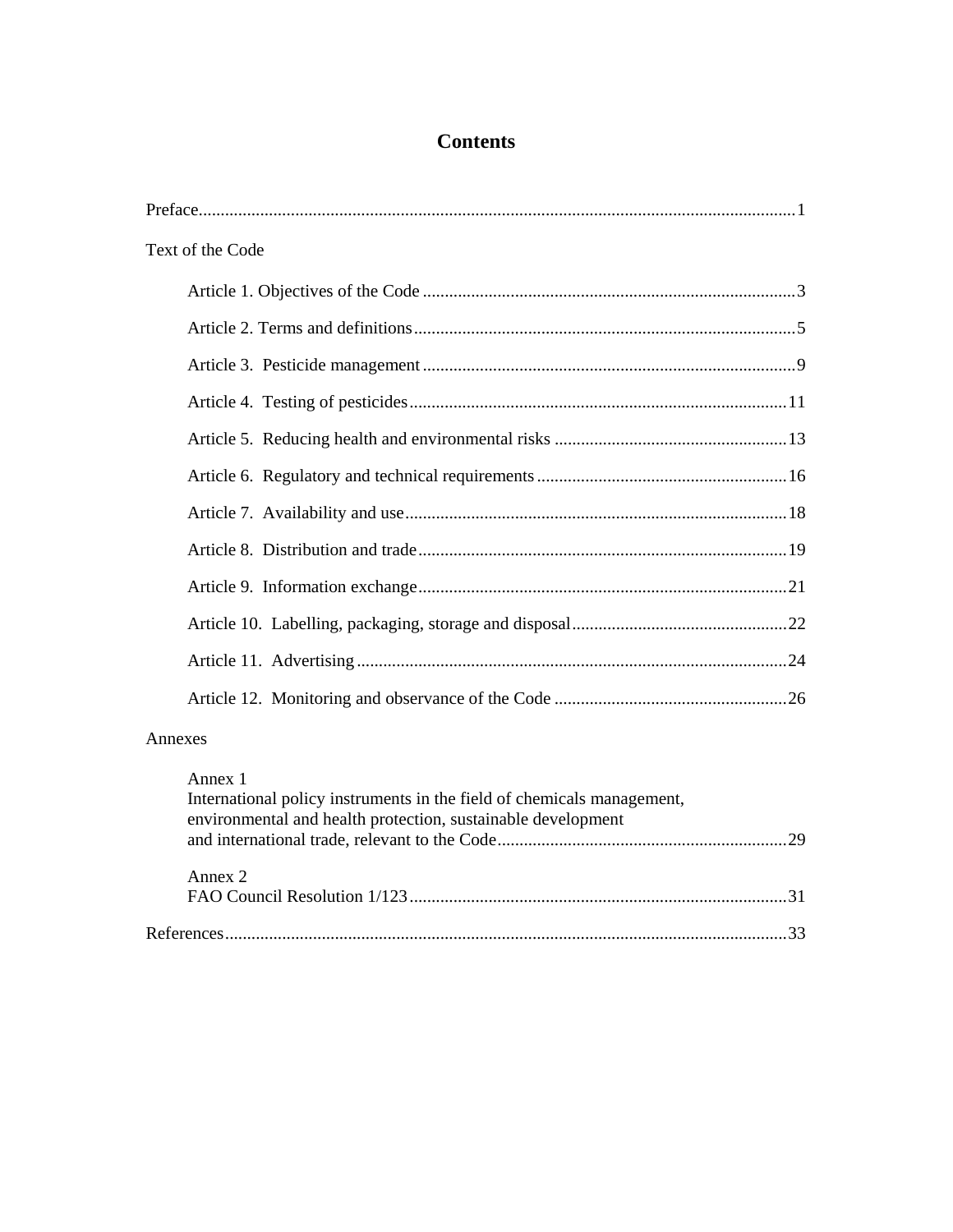# **Contents**

| Text of the Code                                                                                                                                  |  |
|---------------------------------------------------------------------------------------------------------------------------------------------------|--|
|                                                                                                                                                   |  |
|                                                                                                                                                   |  |
|                                                                                                                                                   |  |
|                                                                                                                                                   |  |
|                                                                                                                                                   |  |
|                                                                                                                                                   |  |
|                                                                                                                                                   |  |
|                                                                                                                                                   |  |
|                                                                                                                                                   |  |
|                                                                                                                                                   |  |
|                                                                                                                                                   |  |
|                                                                                                                                                   |  |
| Annexes                                                                                                                                           |  |
| Annex 1<br>International policy instruments in the field of chemicals management,<br>environmental and health protection, sustainable development |  |
| Annex 2                                                                                                                                           |  |
|                                                                                                                                                   |  |
|                                                                                                                                                   |  |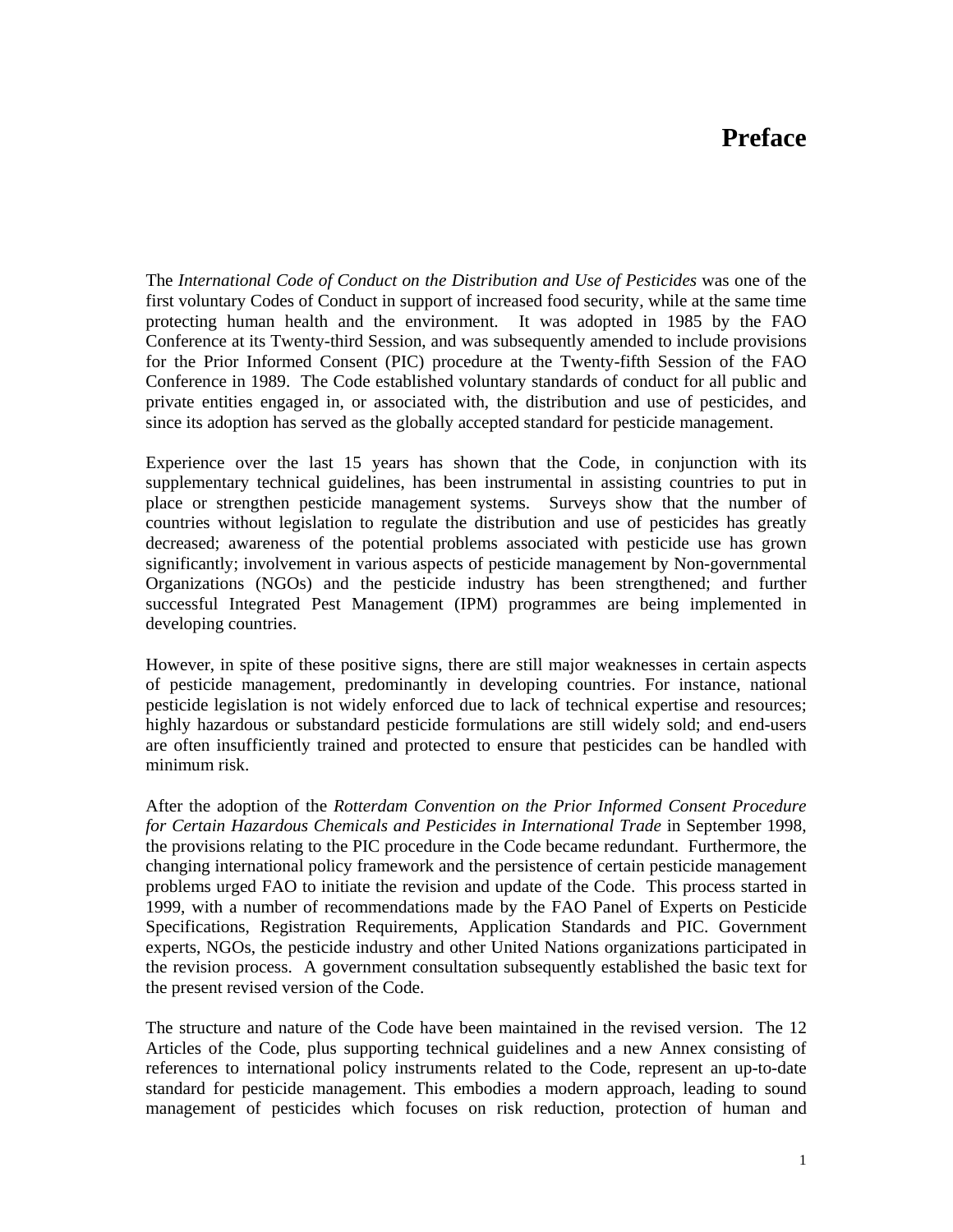# **Preface**

The *International Code of Conduct on the Distribution and Use of Pesticides* was one of the first voluntary Codes of Conduct in support of increased food security, while at the same time protecting human health and the environment. It was adopted in 1985 by the FAO Conference at its Twenty-third Session, and was subsequently amended to include provisions for the Prior Informed Consent (PIC) procedure at the Twenty-fifth Session of the FAO Conference in 1989. The Code established voluntary standards of conduct for all public and private entities engaged in, or associated with, the distribution and use of pesticides, and since its adoption has served as the globally accepted standard for pesticide management.

Experience over the last 15 years has shown that the Code, in conjunction with its supplementary technical guidelines, has been instrumental in assisting countries to put in place or strengthen pesticide management systems. Surveys show that the number of countries without legislation to regulate the distribution and use of pesticides has greatly decreased; awareness of the potential problems associated with pesticide use has grown significantly; involvement in various aspects of pesticide management by Non-governmental Organizations (NGOs) and the pesticide industry has been strengthened; and further successful Integrated Pest Management (IPM) programmes are being implemented in developing countries.

However, in spite of these positive signs, there are still major weaknesses in certain aspects of pesticide management, predominantly in developing countries. For instance, national pesticide legislation is not widely enforced due to lack of technical expertise and resources; highly hazardous or substandard pesticide formulations are still widely sold; and end-users are often insufficiently trained and protected to ensure that pesticides can be handled with minimum risk.

After the adoption of the *Rotterdam Convention on the Prior Informed Consent Procedure for Certain Hazardous Chemicals and Pesticides in International Trade* in September 1998, the provisions relating to the PIC procedure in the Code became redundant. Furthermore, the changing international policy framework and the persistence of certain pesticide management problems urged FAO to initiate the revision and update of the Code. This process started in 1999, with a number of recommendations made by the FAO Panel of Experts on Pesticide Specifications, Registration Requirements, Application Standards and PIC. Government experts, NGOs, the pesticide industry and other United Nations organizations participated in the revision process. A government consultation subsequently established the basic text for the present revised version of the Code.

The structure and nature of the Code have been maintained in the revised version. The 12 Articles of the Code, plus supporting technical guidelines and a new Annex consisting of references to international policy instruments related to the Code, represent an up-to-date standard for pesticide management. This embodies a modern approach, leading to sound management of pesticides which focuses on risk reduction, protection of human and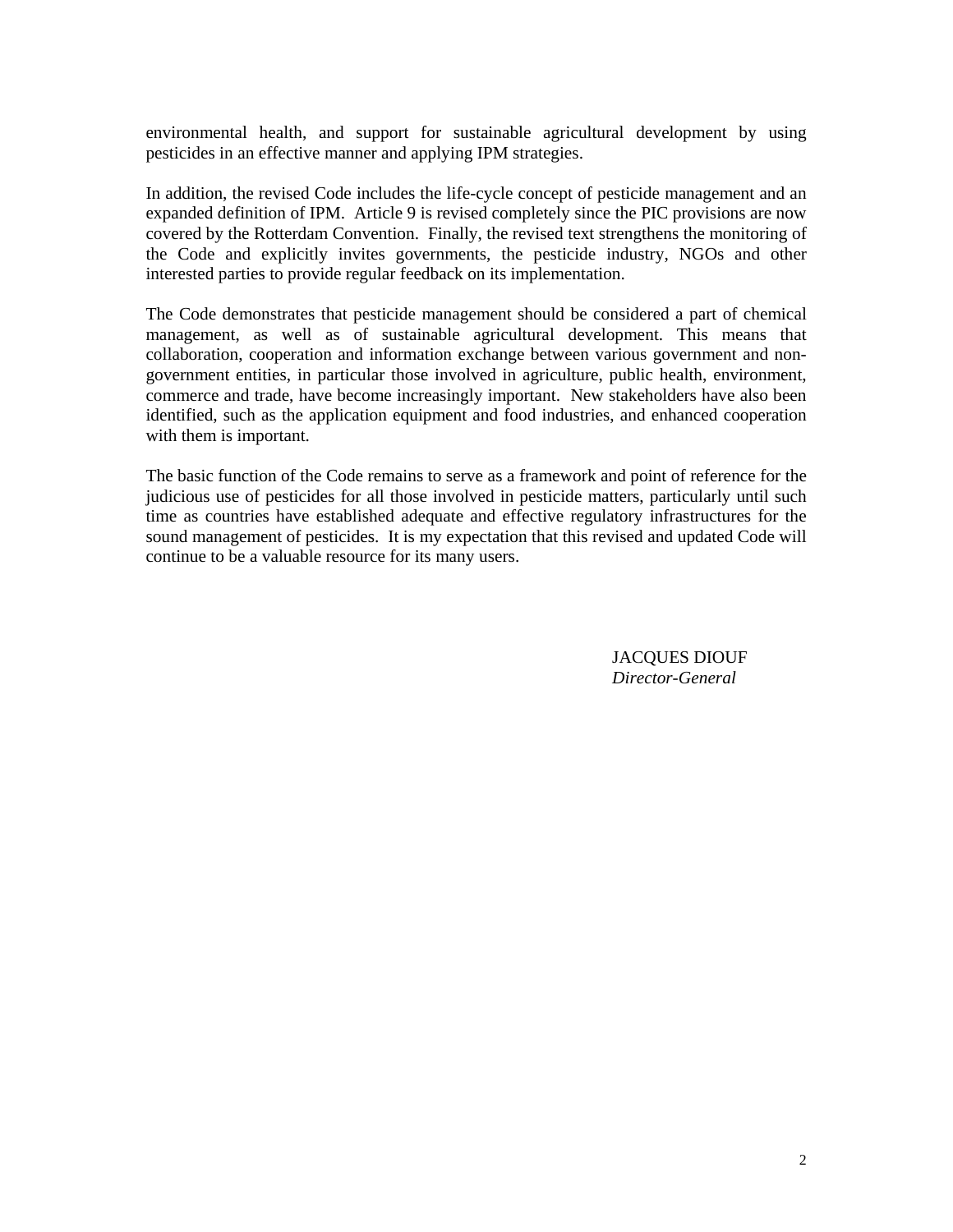environmental health, and support for sustainable agricultural development by using pesticides in an effective manner and applying IPM strategies.

In addition, the revised Code includes the life-cycle concept of pesticide management and an expanded definition of IPM. Article 9 is revised completely since the PIC provisions are now covered by the Rotterdam Convention. Finally, the revised text strengthens the monitoring of the Code and explicitly invites governments, the pesticide industry, NGOs and other interested parties to provide regular feedback on its implementation.

The Code demonstrates that pesticide management should be considered a part of chemical management, as well as of sustainable agricultural development. This means that collaboration, cooperation and information exchange between various government and nongovernment entities, in particular those involved in agriculture, public health, environment, commerce and trade, have become increasingly important. New stakeholders have also been identified, such as the application equipment and food industries, and enhanced cooperation with them is important.

The basic function of the Code remains to serve as a framework and point of reference for the judicious use of pesticides for all those involved in pesticide matters, particularly until such time as countries have established adequate and effective regulatory infrastructures for the sound management of pesticides. It is my expectation that this revised and updated Code will continue to be a valuable resource for its many users.

> JACQUES DIOUF *Director-General*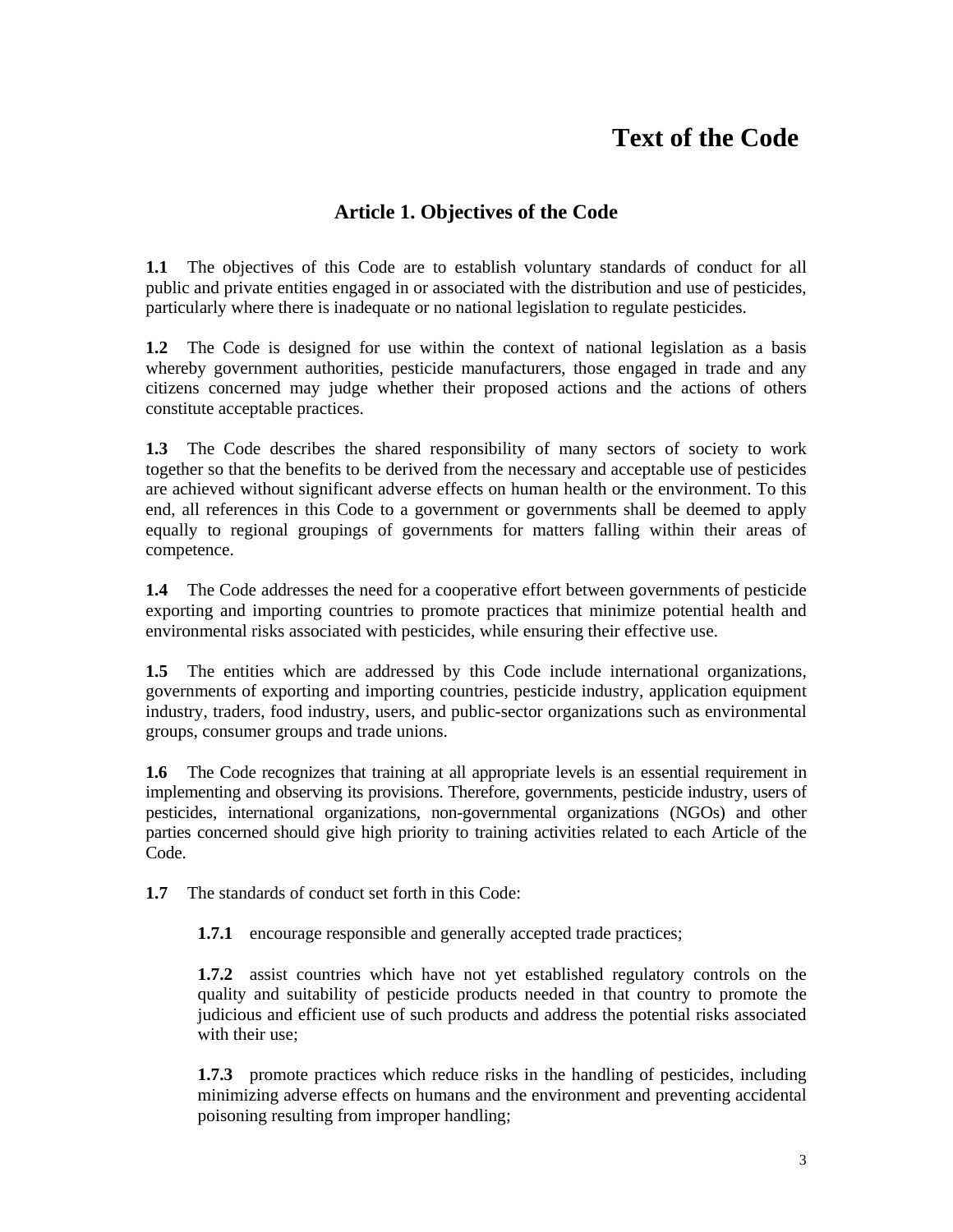# **Text of the Code**

## **Article 1. Objectives of the Code**

**1.1** The objectives of this Code are to establish voluntary standards of conduct for all public and private entities engaged in or associated with the distribution and use of pesticides, particularly where there is inadequate or no national legislation to regulate pesticides.

**1.2** The Code is designed for use within the context of national legislation as a basis whereby government authorities, pesticide manufacturers, those engaged in trade and any citizens concerned may judge whether their proposed actions and the actions of others constitute acceptable practices.

**1.3** The Code describes the shared responsibility of many sectors of society to work together so that the benefits to be derived from the necessary and acceptable use of pesticides are achieved without significant adverse effects on human health or the environment. To this end, all references in this Code to a government or governments shall be deemed to apply equally to regional groupings of governments for matters falling within their areas of competence.

**1.4** The Code addresses the need for a cooperative effort between governments of pesticide exporting and importing countries to promote practices that minimize potential health and environmental risks associated with pesticides, while ensuring their effective use.

**1.5** The entities which are addressed by this Code include international organizations, governments of exporting and importing countries, pesticide industry, application equipment industry, traders, food industry, users, and public-sector organizations such as environmental groups, consumer groups and trade unions.

**1.6** The Code recognizes that training at all appropriate levels is an essential requirement in implementing and observing its provisions. Therefore, governments, pesticide industry, users of pesticides, international organizations, non-governmental organizations (NGOs) and other parties concerned should give high priority to training activities related to each Article of the Code.

**1.7** The standards of conduct set forth in this Code:

**1.7.1** encourage responsible and generally accepted trade practices;

**1.7.2** assist countries which have not yet established regulatory controls on the quality and suitability of pesticide products needed in that country to promote the judicious and efficient use of such products and address the potential risks associated with their use;

**1.7.3** promote practices which reduce risks in the handling of pesticides, including minimizing adverse effects on humans and the environment and preventing accidental poisoning resulting from improper handling;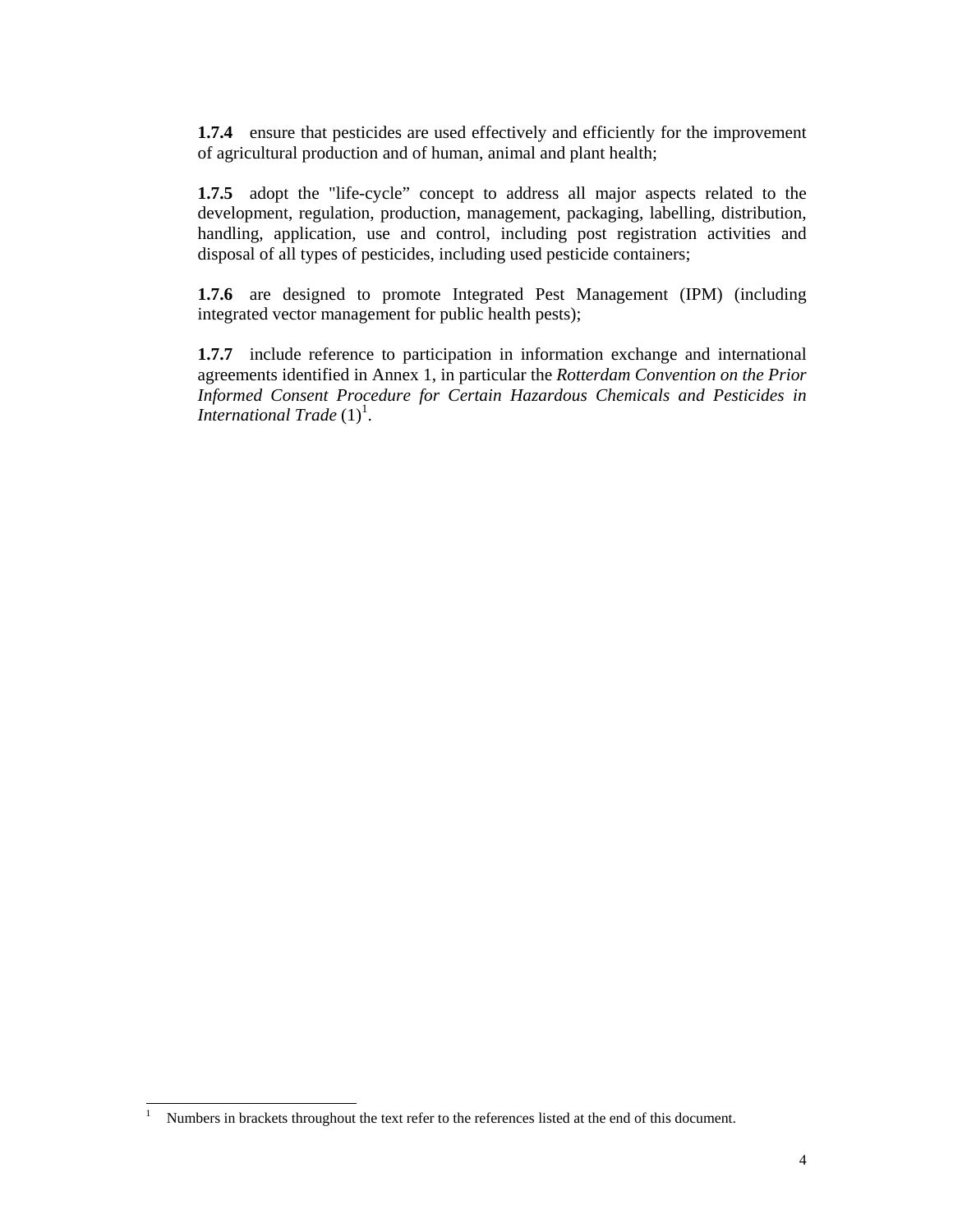**1.7.4** ensure that pesticides are used effectively and efficiently for the improvement of agricultural production and of human, animal and plant health;

**1.7.5** adopt the "life-cycle" concept to address all major aspects related to the development, regulation, production, management, packaging, labelling, distribution, handling, application, use and control, including post registration activities and disposal of all types of pesticides, including used pesticide containers;

**1.7.6** are designed to promote Integrated Pest Management (IPM) (including integrated vector management for public health pests);

**1.7.7** include reference to participation in information exchange and international agreements identified in Annex 1, in particular the *Rotterdam Convention on the Prior Informed Consent Procedure for Certain Hazardous Chemicals and Pesticides in International Trade*  $(1)^{1}$ .

 $\frac{1}{1}$ Numbers in brackets throughout the text refer to the references listed at the end of this document.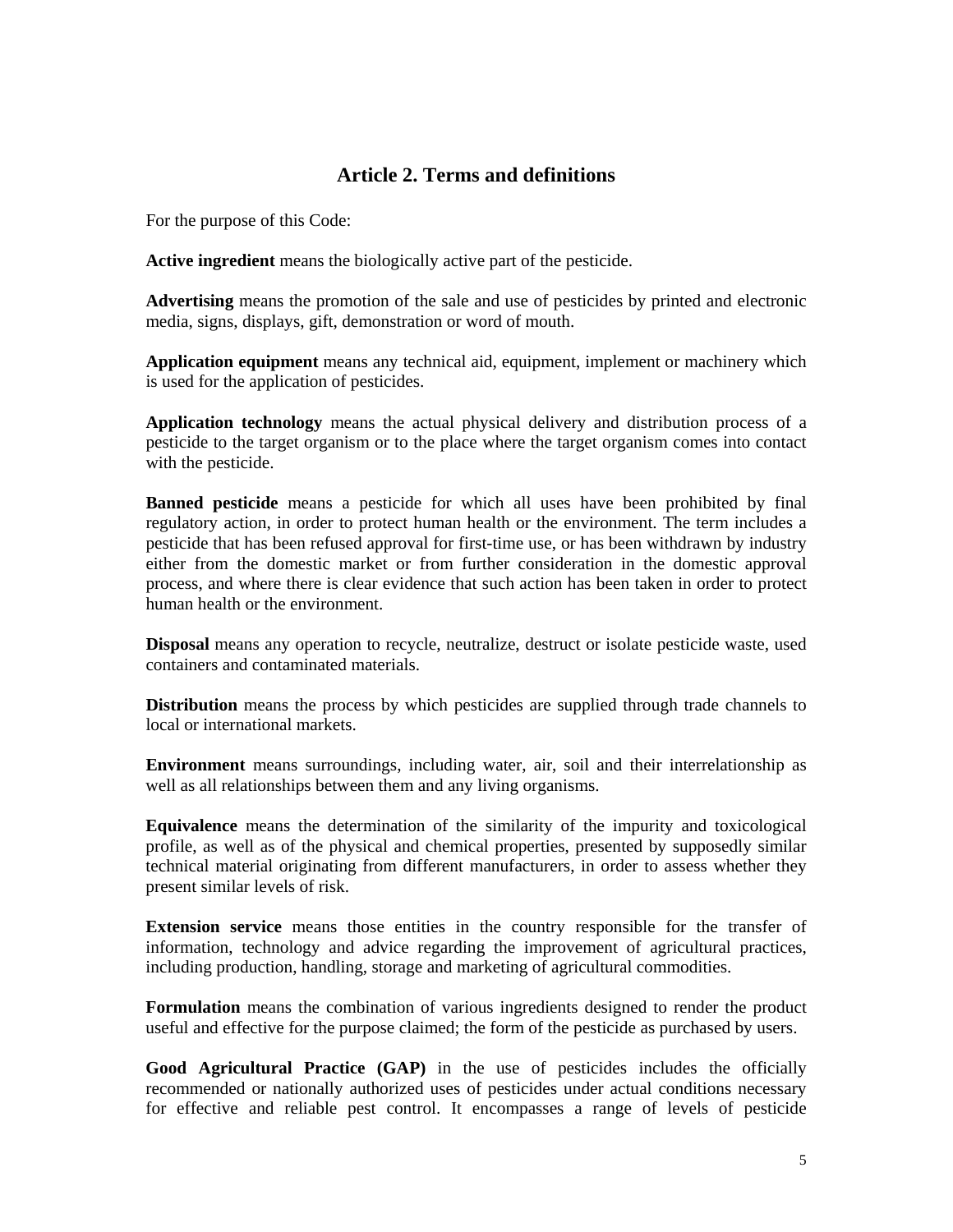#### **Article 2. Terms and definitions**

For the purpose of this Code:

**Active ingredient** means the biologically active part of the pesticide.

**Advertising** means the promotion of the sale and use of pesticides by printed and electronic media, signs, displays, gift, demonstration or word of mouth.

**Application equipment** means any technical aid, equipment, implement or machinery which is used for the application of pesticides.

**Application technology** means the actual physical delivery and distribution process of a pesticide to the target organism or to the place where the target organism comes into contact with the pesticide.

**Banned pesticide** means a pesticide for which all uses have been prohibited by final regulatory action, in order to protect human health or the environment. The term includes a pesticide that has been refused approval for first-time use, or has been withdrawn by industry either from the domestic market or from further consideration in the domestic approval process, and where there is clear evidence that such action has been taken in order to protect human health or the environment.

**Disposal** means any operation to recycle, neutralize, destruct or isolate pesticide waste, used containers and contaminated materials.

**Distribution** means the process by which pesticides are supplied through trade channels to local or international markets.

**Environment** means surroundings, including water, air, soil and their interrelationship as well as all relationships between them and any living organisms.

**Equivalence** means the determination of the similarity of the impurity and toxicological profile, as well as of the physical and chemical properties, presented by supposedly similar technical material originating from different manufacturers, in order to assess whether they present similar levels of risk.

**Extension service** means those entities in the country responsible for the transfer of information, technology and advice regarding the improvement of agricultural practices, including production, handling, storage and marketing of agricultural commodities.

**Formulation** means the combination of various ingredients designed to render the product useful and effective for the purpose claimed; the form of the pesticide as purchased by users.

**Good Agricultural Practice (GAP)** in the use of pesticides includes the officially recommended or nationally authorized uses of pesticides under actual conditions necessary for effective and reliable pest control. It encompasses a range of levels of pesticide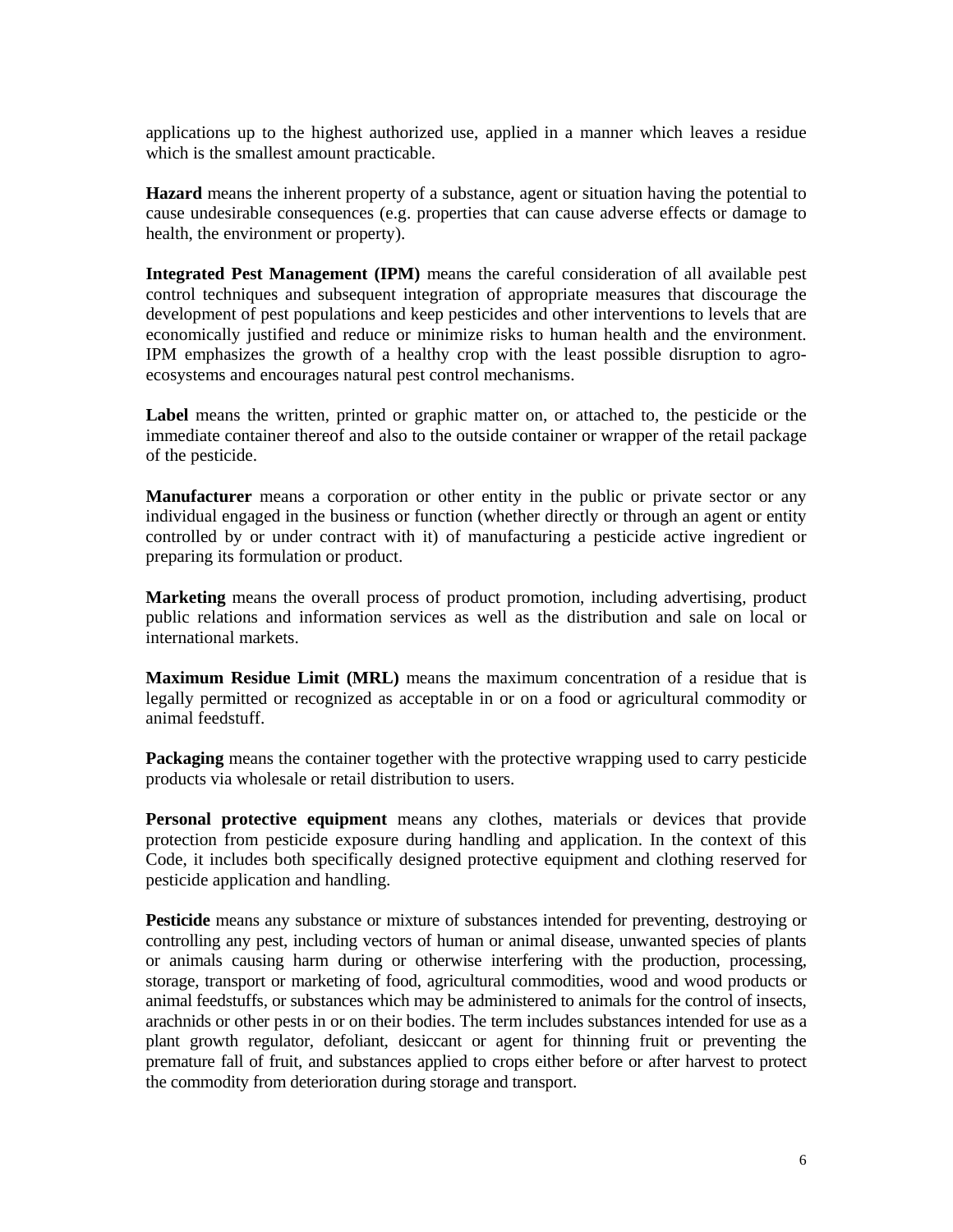applications up to the highest authorized use, applied in a manner which leaves a residue which is the smallest amount practicable.

**Hazard** means the inherent property of a substance, agent or situation having the potential to cause undesirable consequences (e.g. properties that can cause adverse effects or damage to health, the environment or property).

**Integrated Pest Management (IPM)** means the careful consideration of all available pest control techniques and subsequent integration of appropriate measures that discourage the development of pest populations and keep pesticides and other interventions to levels that are economically justified and reduce or minimize risks to human health and the environment. IPM emphasizes the growth of a healthy crop with the least possible disruption to agroecosystems and encourages natural pest control mechanisms.

**Label** means the written, printed or graphic matter on, or attached to, the pesticide or the immediate container thereof and also to the outside container or wrapper of the retail package of the pesticide.

**Manufacturer** means a corporation or other entity in the public or private sector or any individual engaged in the business or function (whether directly or through an agent or entity controlled by or under contract with it) of manufacturing a pesticide active ingredient or preparing its formulation or product.

**Marketing** means the overall process of product promotion, including advertising, product public relations and information services as well as the distribution and sale on local or international markets.

**Maximum Residue Limit (MRL)** means the maximum concentration of a residue that is legally permitted or recognized as acceptable in or on a food or agricultural commodity or animal feedstuff.

**Packaging** means the container together with the protective wrapping used to carry pesticide products via wholesale or retail distribution to users.

**Personal protective equipment** means any clothes, materials or devices that provide protection from pesticide exposure during handling and application. In the context of this Code, it includes both specifically designed protective equipment and clothing reserved for pesticide application and handling.

**Pesticide** means any substance or mixture of substances intended for preventing, destroying or controlling any pest, including vectors of human or animal disease, unwanted species of plants or animals causing harm during or otherwise interfering with the production, processing, storage, transport or marketing of food, agricultural commodities, wood and wood products or animal feedstuffs, or substances which may be administered to animals for the control of insects, arachnids or other pests in or on their bodies. The term includes substances intended for use as a plant growth regulator, defoliant, desiccant or agent for thinning fruit or preventing the premature fall of fruit, and substances applied to crops either before or after harvest to protect the commodity from deterioration during storage and transport.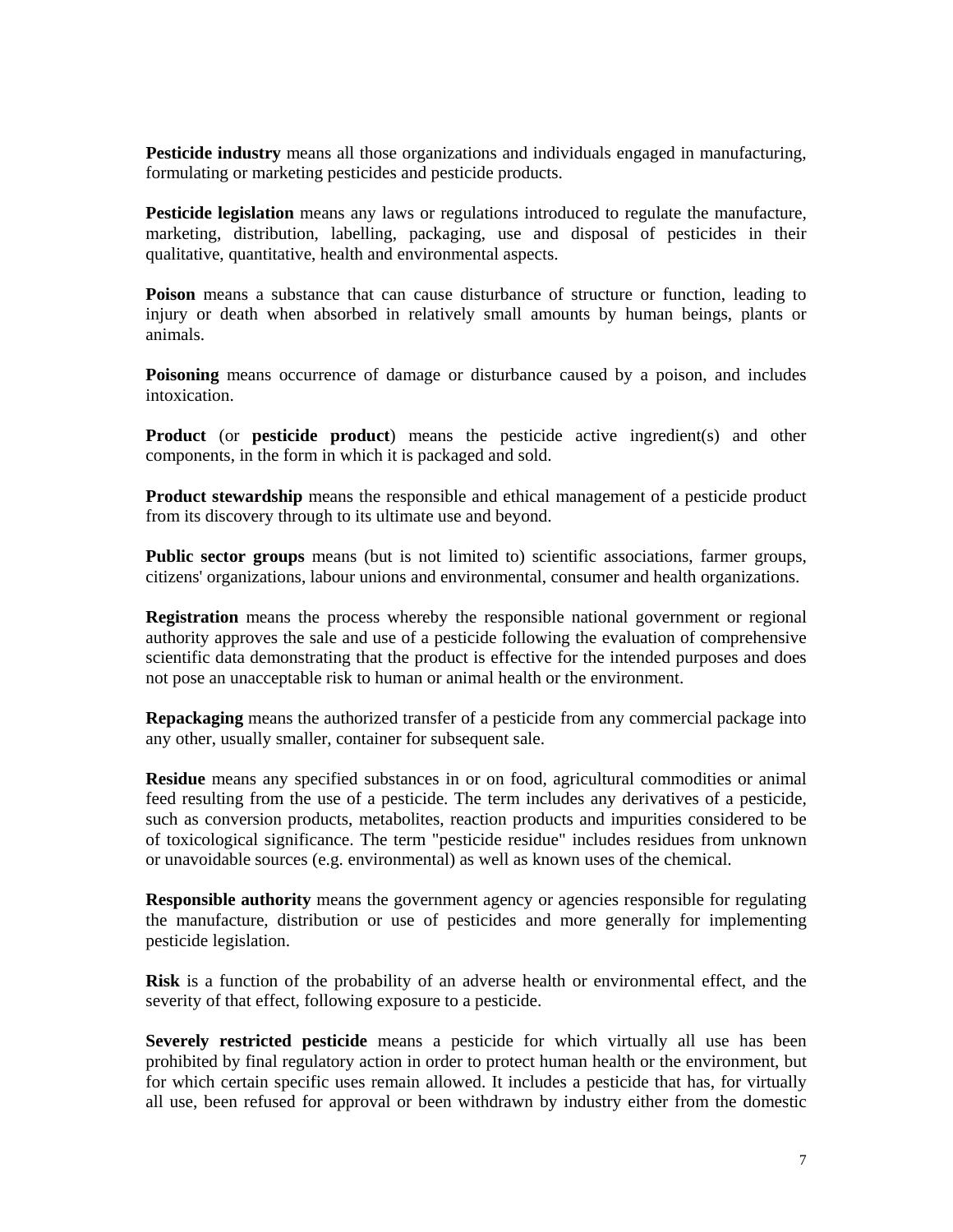**Pesticide industry** means all those organizations and individuals engaged in manufacturing, formulating or marketing pesticides and pesticide products.

**Pesticide legislation** means any laws or regulations introduced to regulate the manufacture, marketing, distribution, labelling, packaging, use and disposal of pesticides in their qualitative, quantitative, health and environmental aspects.

**Poison** means a substance that can cause disturbance of structure or function, leading to injury or death when absorbed in relatively small amounts by human beings, plants or animals.

**Poisoning** means occurrence of damage or disturbance caused by a poison, and includes intoxication.

**Product** (or **pesticide product**) means the pesticide active ingredient(s) and other components, in the form in which it is packaged and sold.

**Product stewardship** means the responsible and ethical management of a pesticide product from its discovery through to its ultimate use and beyond.

**Public sector groups** means (but is not limited to) scientific associations, farmer groups, citizens' organizations, labour unions and environmental, consumer and health organizations.

**Registration** means the process whereby the responsible national government or regional authority approves the sale and use of a pesticide following the evaluation of comprehensive scientific data demonstrating that the product is effective for the intended purposes and does not pose an unacceptable risk to human or animal health or the environment.

**Repackaging** means the authorized transfer of a pesticide from any commercial package into any other, usually smaller, container for subsequent sale.

**Residue** means any specified substances in or on food, agricultural commodities or animal feed resulting from the use of a pesticide. The term includes any derivatives of a pesticide, such as conversion products, metabolites, reaction products and impurities considered to be of toxicological significance. The term "pesticide residue" includes residues from unknown or unavoidable sources (e.g. environmental) as well as known uses of the chemical.

**Responsible authority** means the government agency or agencies responsible for regulating the manufacture, distribution or use of pesticides and more generally for implementing pesticide legislation.

**Risk** is a function of the probability of an adverse health or environmental effect, and the severity of that effect, following exposure to a pesticide.

**Severely restricted pesticide** means a pesticide for which virtually all use has been prohibited by final regulatory action in order to protect human health or the environment, but for which certain specific uses remain allowed. It includes a pesticide that has, for virtually all use, been refused for approval or been withdrawn by industry either from the domestic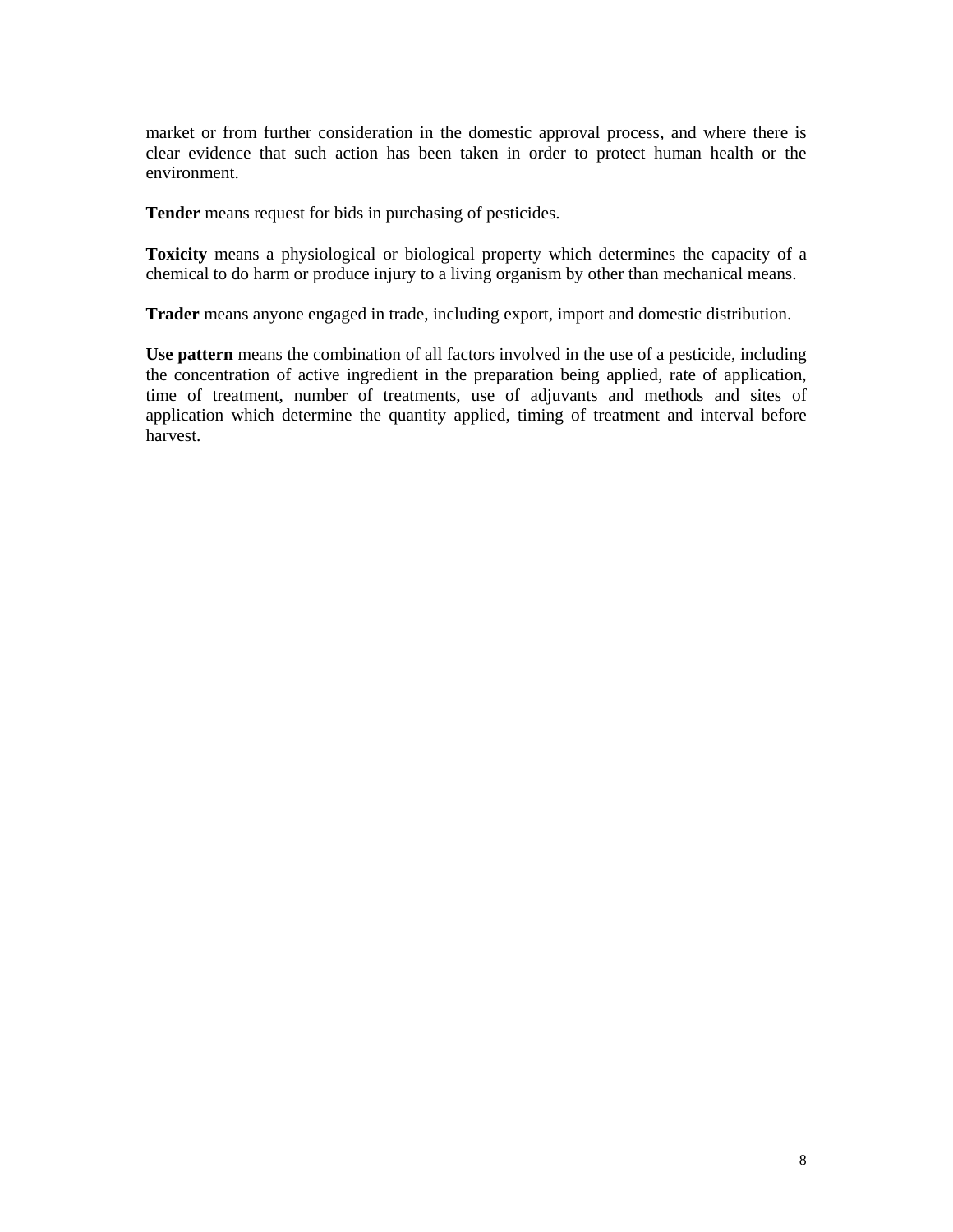market or from further consideration in the domestic approval process, and where there is clear evidence that such action has been taken in order to protect human health or the environment.

**Tender** means request for bids in purchasing of pesticides.

**Toxicity** means a physiological or biological property which determines the capacity of a chemical to do harm or produce injury to a living organism by other than mechanical means.

**Trader** means anyone engaged in trade, including export, import and domestic distribution.

**Use pattern** means the combination of all factors involved in the use of a pesticide, including the concentration of active ingredient in the preparation being applied, rate of application, time of treatment, number of treatments, use of adjuvants and methods and sites of application which determine the quantity applied, timing of treatment and interval before harvest.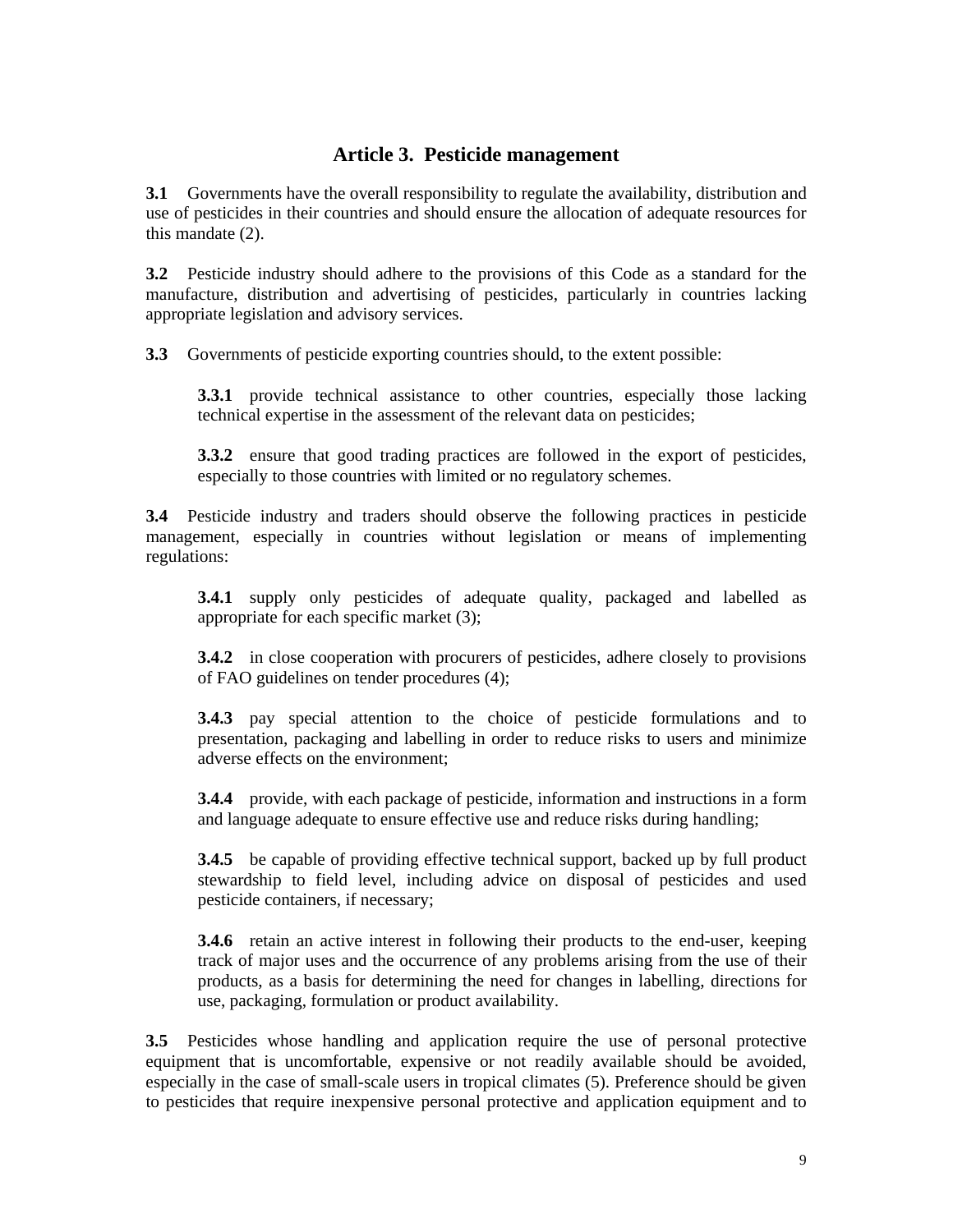#### **Article 3. Pesticide management**

**3.1** Governments have the overall responsibility to regulate the availability, distribution and use of pesticides in their countries and should ensure the allocation of adequate resources for this mandate (2).

**3.2** Pesticide industry should adhere to the provisions of this Code as a standard for the manufacture, distribution and advertising of pesticides, particularly in countries lacking appropriate legislation and advisory services.

**3.3** Governments of pesticide exporting countries should, to the extent possible:

**3.3.1** provide technical assistance to other countries, especially those lacking technical expertise in the assessment of the relevant data on pesticides;

**3.3.2** ensure that good trading practices are followed in the export of pesticides, especially to those countries with limited or no regulatory schemes.

**3.4** Pesticide industry and traders should observe the following practices in pesticide management, especially in countries without legislation or means of implementing regulations:

**3.4.1** supply only pesticides of adequate quality, packaged and labelled as appropriate for each specific market (3);

**3.4.2** in close cooperation with procurers of pesticides, adhere closely to provisions of FAO guidelines on tender procedures (4);

**3.4.3** pay special attention to the choice of pesticide formulations and to presentation, packaging and labelling in order to reduce risks to users and minimize adverse effects on the environment;

**3.4.4** provide, with each package of pesticide, information and instructions in a form and language adequate to ensure effective use and reduce risks during handling;

**3.4.5** be capable of providing effective technical support, backed up by full product stewardship to field level, including advice on disposal of pesticides and used pesticide containers, if necessary;

**3.4.6** retain an active interest in following their products to the end-user, keeping track of major uses and the occurrence of any problems arising from the use of their products, as a basis for determining the need for changes in labelling, directions for use, packaging, formulation or product availability.

**3.5** Pesticides whose handling and application require the use of personal protective equipment that is uncomfortable, expensive or not readily available should be avoided, especially in the case of small-scale users in tropical climates (5). Preference should be given to pesticides that require inexpensive personal protective and application equipment and to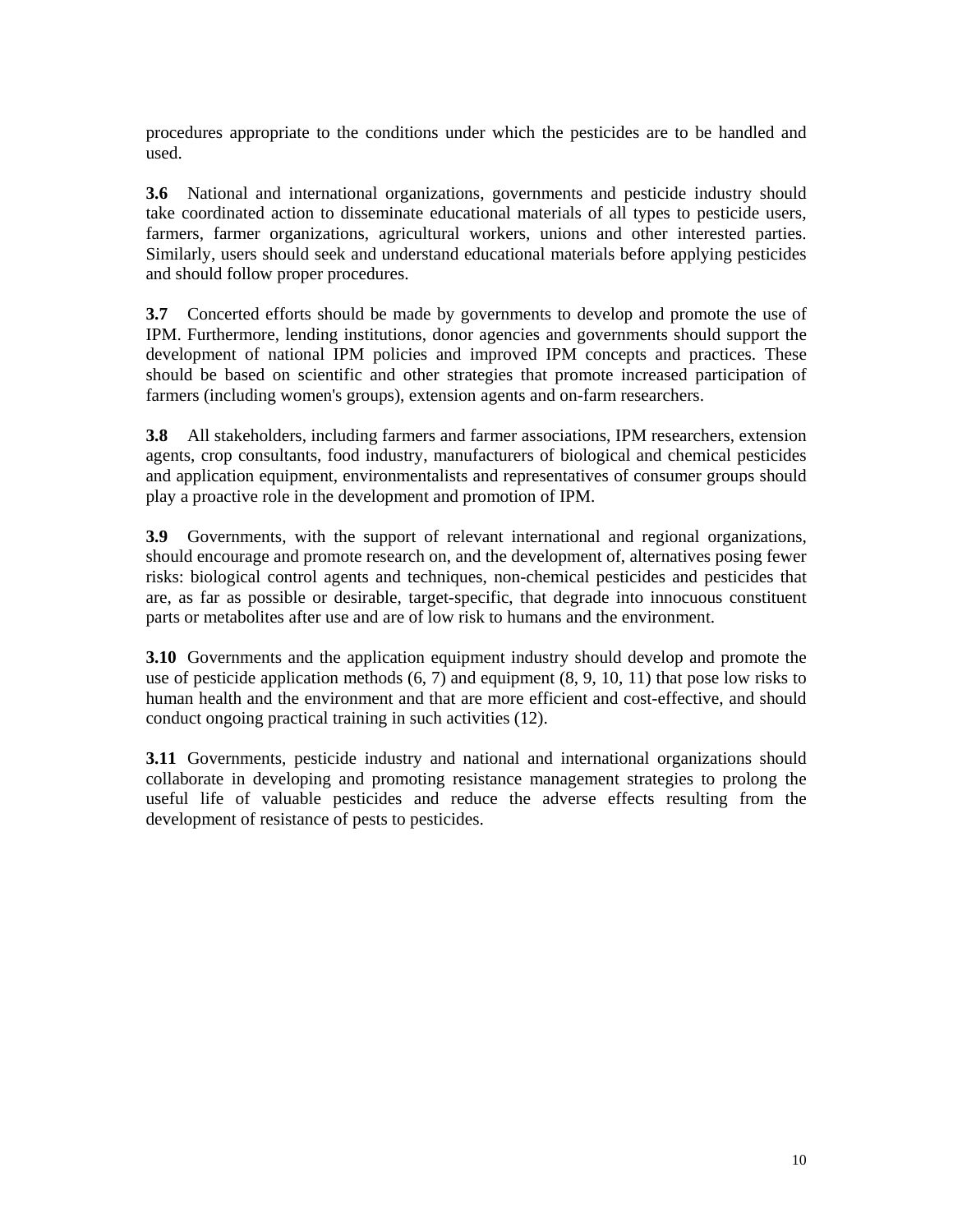procedures appropriate to the conditions under which the pesticides are to be handled and used.

**3.6** National and international organizations, governments and pesticide industry should take coordinated action to disseminate educational materials of all types to pesticide users, farmers, farmer organizations, agricultural workers, unions and other interested parties. Similarly, users should seek and understand educational materials before applying pesticides and should follow proper procedures.

**3.7** Concerted efforts should be made by governments to develop and promote the use of IPM. Furthermore, lending institutions, donor agencies and governments should support the development of national IPM policies and improved IPM concepts and practices. These should be based on scientific and other strategies that promote increased participation of farmers (including women's groups), extension agents and on-farm researchers.

**3.8** All stakeholders, including farmers and farmer associations, IPM researchers, extension agents, crop consultants, food industry, manufacturers of biological and chemical pesticides and application equipment, environmentalists and representatives of consumer groups should play a proactive role in the development and promotion of IPM.

**3.9** Governments, with the support of relevant international and regional organizations, should encourage and promote research on, and the development of, alternatives posing fewer risks: biological control agents and techniques, non-chemical pesticides and pesticides that are, as far as possible or desirable, target-specific, that degrade into innocuous constituent parts or metabolites after use and are of low risk to humans and the environment.

**3.10** Governments and the application equipment industry should develop and promote the use of pesticide application methods  $(6, 7)$  and equipment  $(8, 9, 10, 11)$  that pose low risks to human health and the environment and that are more efficient and cost-effective, and should conduct ongoing practical training in such activities (12).

**3.11** Governments, pesticide industry and national and international organizations should collaborate in developing and promoting resistance management strategies to prolong the useful life of valuable pesticides and reduce the adverse effects resulting from the development of resistance of pests to pesticides.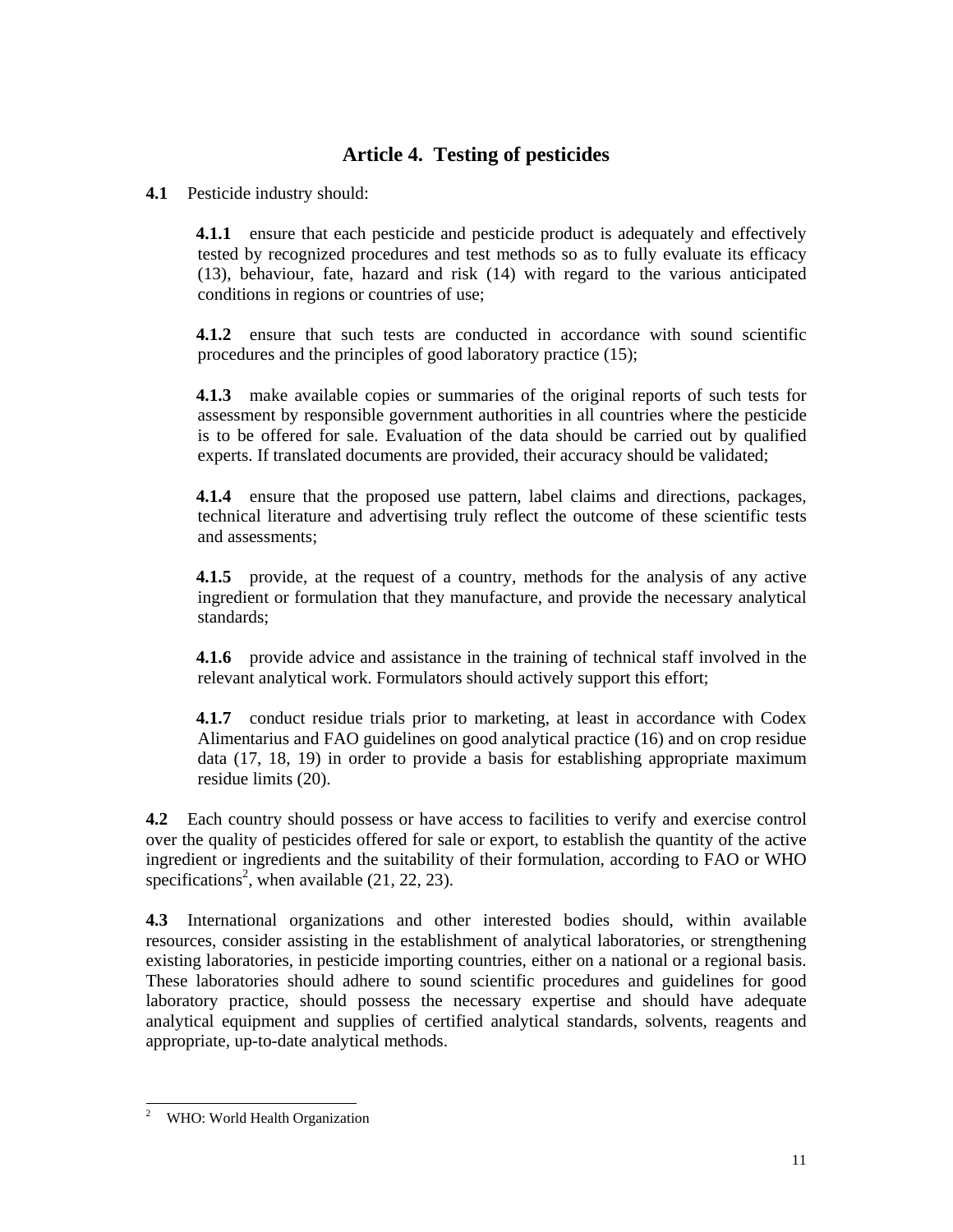## **Article 4. Testing of pesticides**

**4.1** Pesticide industry should:

**4.1.1** ensure that each pesticide and pesticide product is adequately and effectively tested by recognized procedures and test methods so as to fully evaluate its efficacy (13), behaviour, fate, hazard and risk (14) with regard to the various anticipated conditions in regions or countries of use;

**4.1.2** ensure that such tests are conducted in accordance with sound scientific procedures and the principles of good laboratory practice (15);

**4.1.3** make available copies or summaries of the original reports of such tests for assessment by responsible government authorities in all countries where the pesticide is to be offered for sale. Evaluation of the data should be carried out by qualified experts. If translated documents are provided, their accuracy should be validated;

**4.1.4** ensure that the proposed use pattern, label claims and directions, packages, technical literature and advertising truly reflect the outcome of these scientific tests and assessments;

**4.1.5** provide, at the request of a country, methods for the analysis of any active ingredient or formulation that they manufacture, and provide the necessary analytical standards;

**4.1.6** provide advice and assistance in the training of technical staff involved in the relevant analytical work. Formulators should actively support this effort;

**4.1.7** conduct residue trials prior to marketing, at least in accordance with Codex Alimentarius and FAO guidelines on good analytical practice (16) and on crop residue data (17, 18, 19) in order to provide a basis for establishing appropriate maximum residue limits (20).

**4.2** Each country should possess or have access to facilities to verify and exercise control over the quality of pesticides offered for sale or export, to establish the quantity of the active ingredient or ingredients and the suitability of their formulation, according to FAO or WHO specifications<sup>2</sup>, when available  $(21, 22, 23)$ .

**4.3** International organizations and other interested bodies should, within available resources, consider assisting in the establishment of analytical laboratories, or strengthening existing laboratories, in pesticide importing countries, either on a national or a regional basis. These laboratories should adhere to sound scientific procedures and guidelines for good laboratory practice, should possess the necessary expertise and should have adequate analytical equipment and supplies of certified analytical standards, solvents, reagents and appropriate, up-to-date analytical methods.

1

<sup>2</sup> WHO: World Health Organization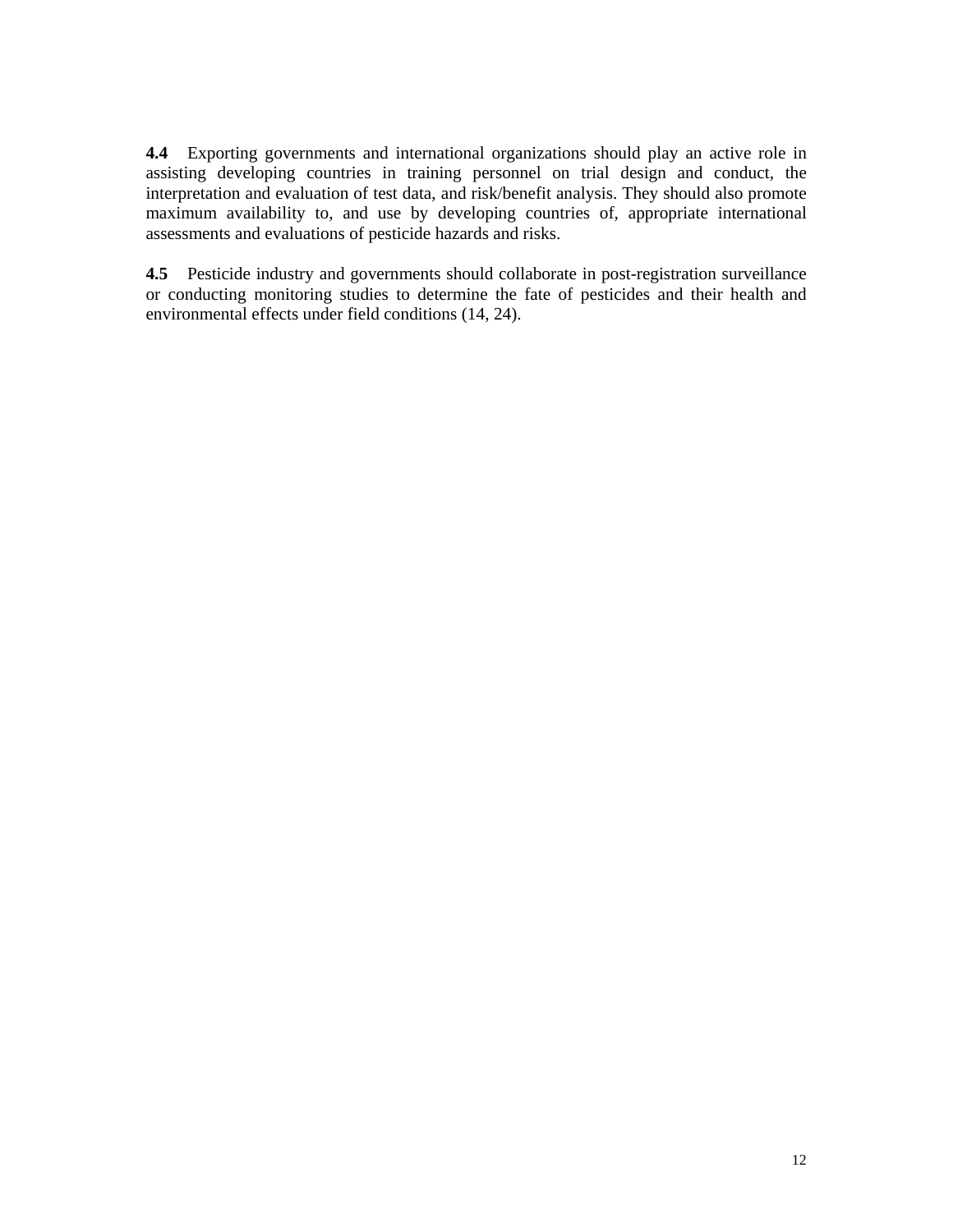**4.4** Exporting governments and international organizations should play an active role in assisting developing countries in training personnel on trial design and conduct, the interpretation and evaluation of test data, and risk/benefit analysis. They should also promote maximum availability to, and use by developing countries of, appropriate international assessments and evaluations of pesticide hazards and risks.

**4.5** Pesticide industry and governments should collaborate in post-registration surveillance or conducting monitoring studies to determine the fate of pesticides and their health and environmental effects under field conditions (14, 24).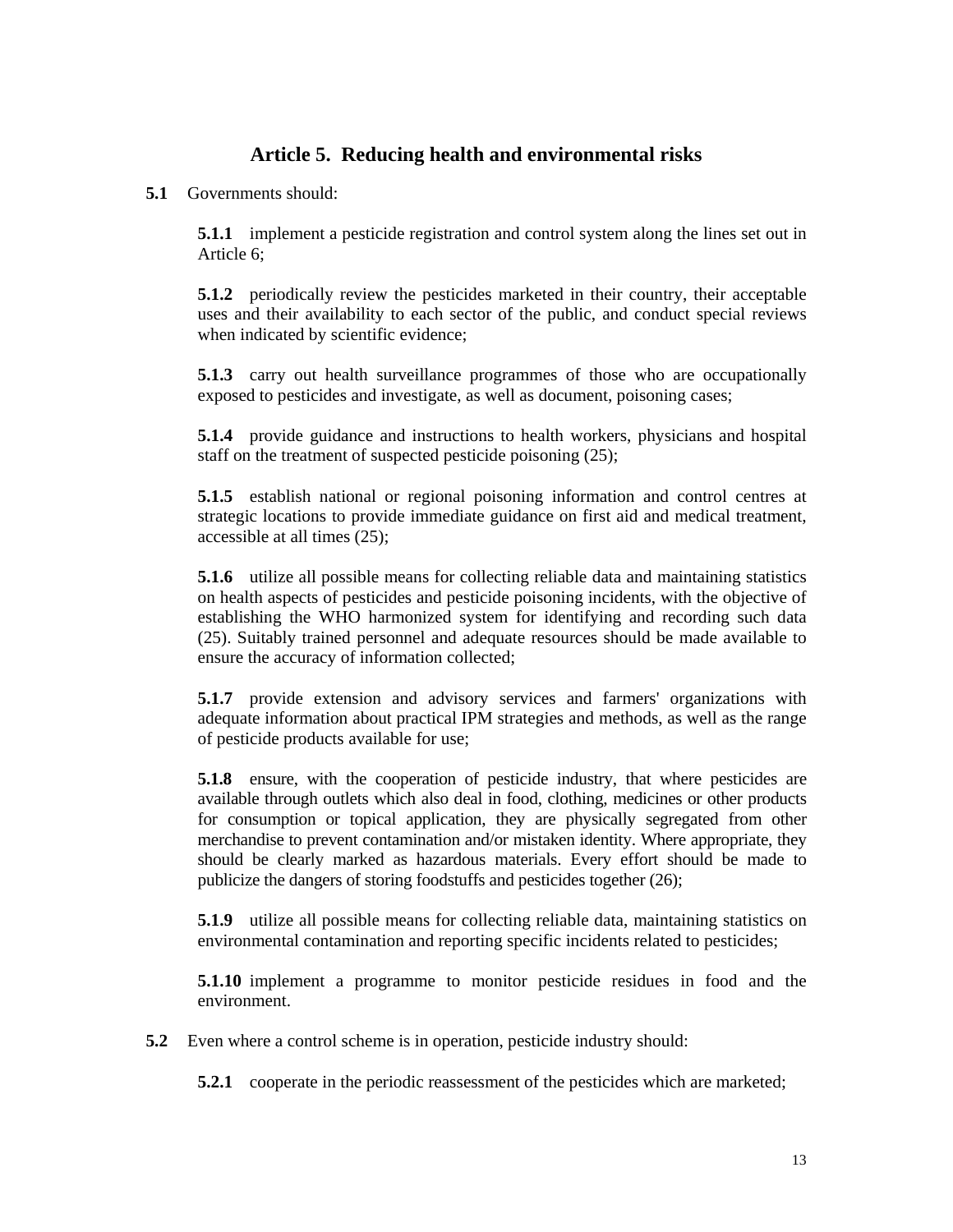## **Article 5. Reducing health and environmental risks**

#### **5.1** Governments should:

**5.1.1** implement a pesticide registration and control system along the lines set out in Article 6;

**5.1.2** periodically review the pesticides marketed in their country, their acceptable uses and their availability to each sector of the public, and conduct special reviews when indicated by scientific evidence;

**5.1.3** carry out health surveillance programmes of those who are occupationally exposed to pesticides and investigate, as well as document, poisoning cases;

**5.1.4** provide guidance and instructions to health workers, physicians and hospital staff on the treatment of suspected pesticide poisoning (25);

**5.1.5** establish national or regional poisoning information and control centres at strategic locations to provide immediate guidance on first aid and medical treatment, accessible at all times (25);

**5.1.6** utilize all possible means for collecting reliable data and maintaining statistics on health aspects of pesticides and pesticide poisoning incidents, with the objective of establishing the WHO harmonized system for identifying and recording such data (25). Suitably trained personnel and adequate resources should be made available to ensure the accuracy of information collected;

**5.1.7** provide extension and advisory services and farmers' organizations with adequate information about practical IPM strategies and methods, as well as the range of pesticide products available for use;

**5.1.8** ensure, with the cooperation of pesticide industry, that where pesticides are available through outlets which also deal in food, clothing, medicines or other products for consumption or topical application, they are physically segregated from other merchandise to prevent contamination and/or mistaken identity. Where appropriate, they should be clearly marked as hazardous materials. Every effort should be made to publicize the dangers of storing foodstuffs and pesticides together (26);

**5.1.9** utilize all possible means for collecting reliable data, maintaining statistics on environmental contamination and reporting specific incidents related to pesticides;

**5.1.10** implement a programme to monitor pesticide residues in food and the environment.

**5.2** Even where a control scheme is in operation, pesticide industry should:

**5.2.1** cooperate in the periodic reassessment of the pesticides which are marketed;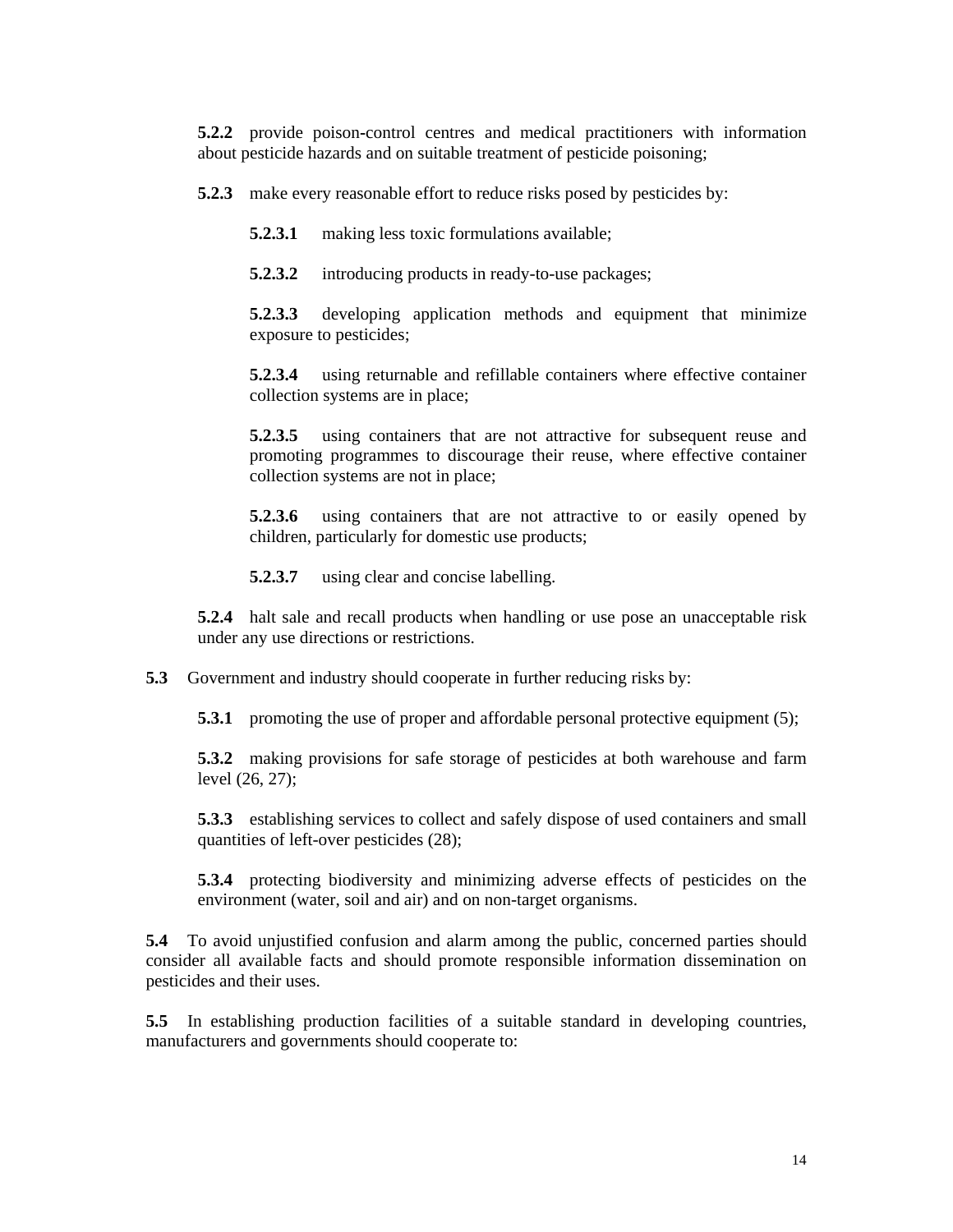**5.2.2** provide poison**-**control centres and medical practitioners with information about pesticide hazards and on suitable treatment of pesticide poisoning;

**5.2.3** make every reasonable effort to reduce risks posed by pesticides by:

**5.2.3.1** making less toxic formulations available;

**5.2.3.2** introducing products in ready-to-use packages;

**5.2.3.3** developing application methods and equipment that minimize exposure to pesticides;

**5.2.3.4** using returnable and refillable containers where effective container collection systems are in place;

**5.2.3.5** using containers that are not attractive for subsequent reuse and promoting programmes to discourage their reuse, where effective container collection systems are not in place;

**5.2.3.6** using containers that are not attractive to or easily opened by children, particularly for domestic use products;

**5.2.3.7** using clear and concise labelling.

**5.2.4** halt sale and recall products when handling or use pose an unacceptable risk under any use directions or restrictions.

**5.3** Government and industry should cooperate in further reducing risks by:

**5.3.1** promoting the use of proper and affordable personal protective equipment (5);

**5.3.2** making provisions for safe storage of pesticides at both warehouse and farm level (26, 27);

**5.3.3** establishing services to collect and safely dispose of used containers and small quantities of left-over pesticides (28);

**5.3.4** protecting biodiversity and minimizing adverse effects of pesticides on the environment (water, soil and air) and on non-target organisms.

**5.4** To avoid unjustified confusion and alarm among the public, concerned parties should consider all available facts and should promote responsible information dissemination on pesticides and their uses.

**5.5** In establishing production facilities of a suitable standard in developing countries, manufacturers and governments should cooperate to: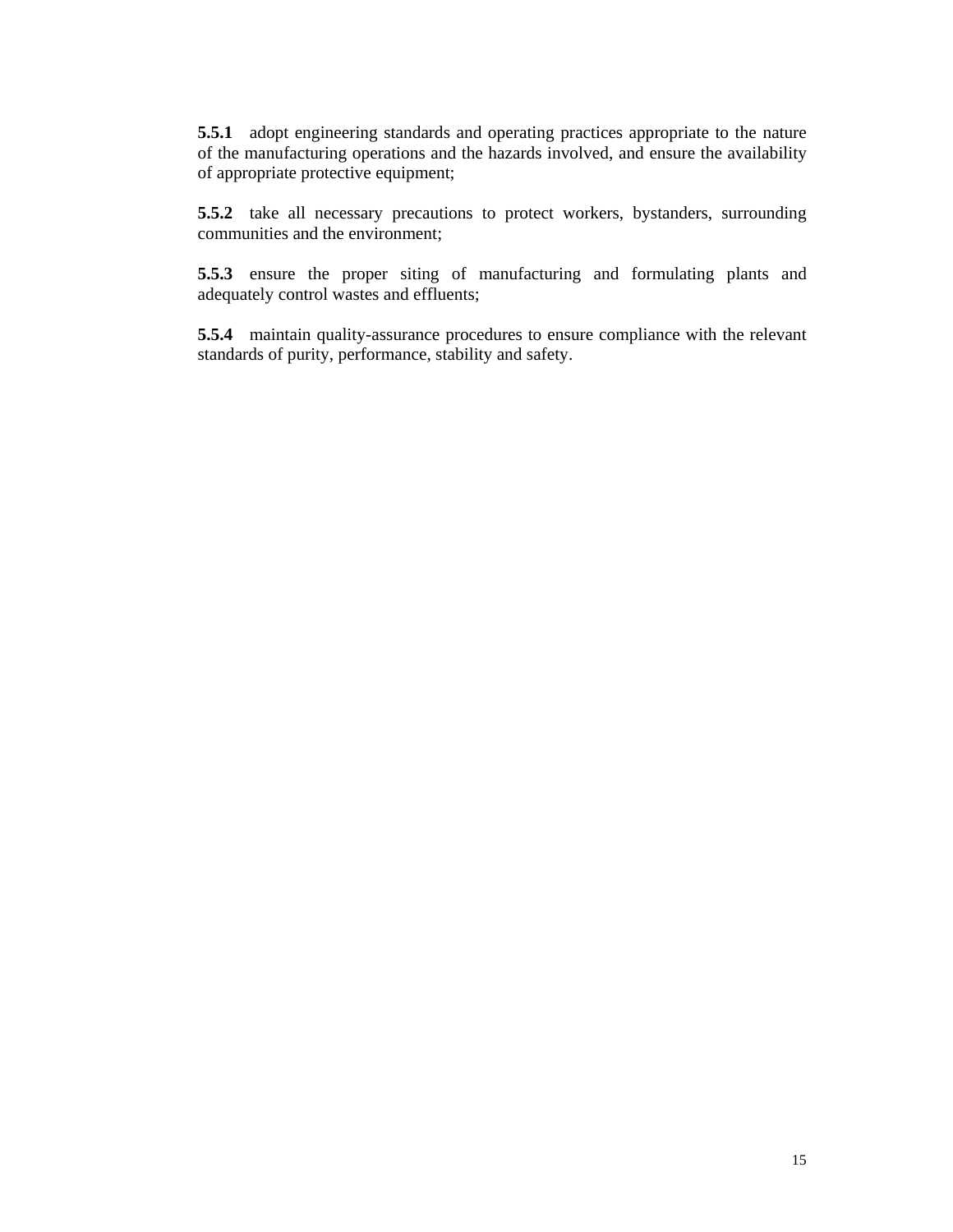**5.5.1** adopt engineering standards and operating practices appropriate to the nature of the manufacturing operations and the hazards involved, and ensure the availability of appropriate protective equipment;

**5.5.2** take all necessary precautions to protect workers, bystanders, surrounding communities and the environment;

**5.5.3** ensure the proper siting of manufacturing and formulating plants and adequately control wastes and effluents;

**5.5.4** maintain quality-assurance procedures to ensure compliance with the relevant standards of purity, performance, stability and safety.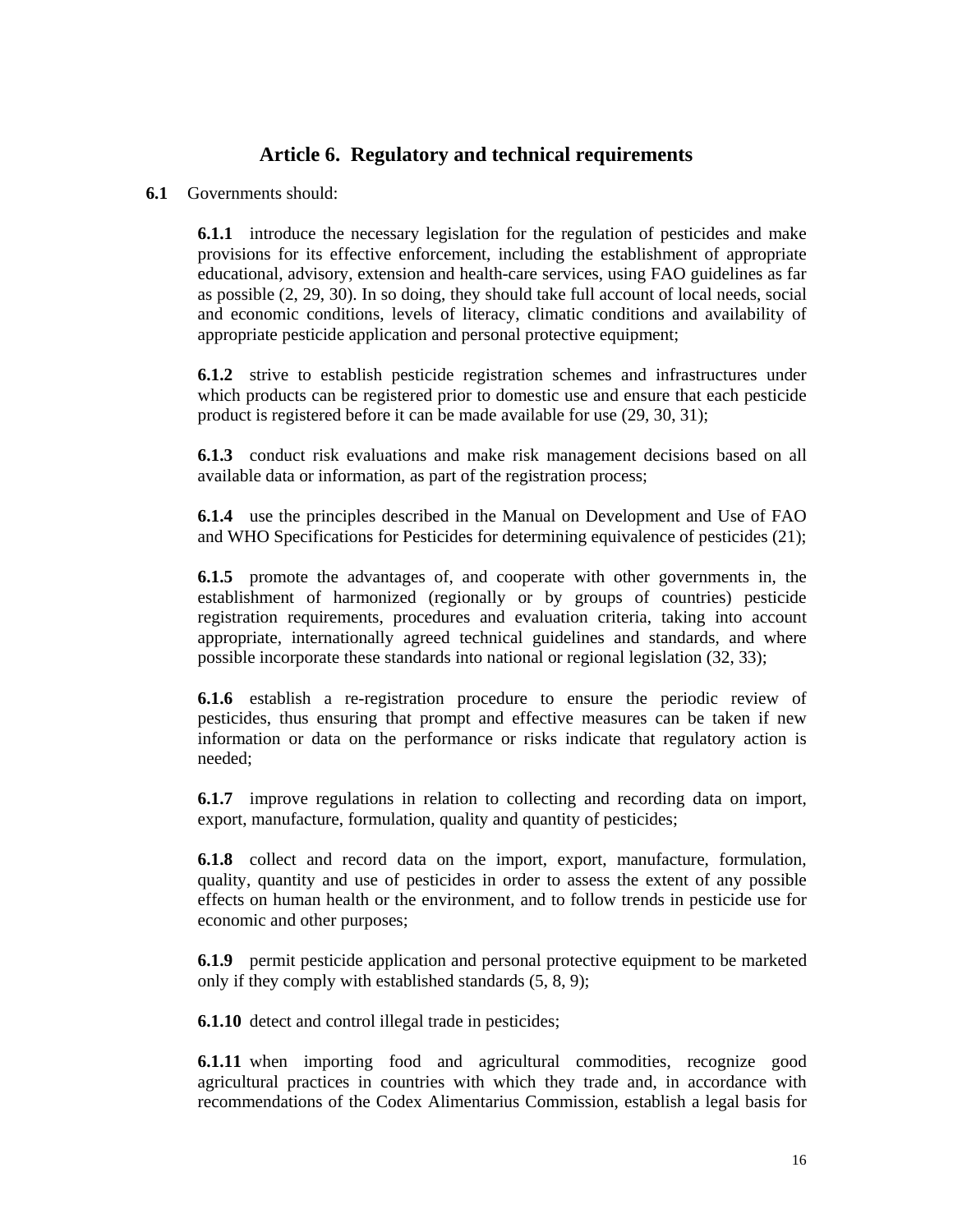### **Article 6. Regulatory and technical requirements**

#### **6.1** Governments should:

**6.1.1** introduce the necessary legislation for the regulation of pesticides and make provisions for its effective enforcement, including the establishment of appropriate educational, advisory, extension and health-care services, using FAO guidelines as far as possible (2, 29, 30). In so doing, they should take full account of local needs, social and economic conditions, levels of literacy, climatic conditions and availability of appropriate pesticide application and personal protective equipment;

**6.1.2** strive to establish pesticide registration schemes and infrastructures under which products can be registered prior to domestic use and ensure that each pesticide product is registered before it can be made available for use (29, 30, 31);

**6.1.3** conduct risk evaluations and make risk management decisions based on all available data or information, as part of the registration process;

**6.1.4** use the principles described in the Manual on Development and Use of FAO and WHO Specifications for Pesticides for determining equivalence of pesticides (21);

**6.1.5** promote the advantages of, and cooperate with other governments in, the establishment of harmonized (regionally or by groups of countries) pesticide registration requirements, procedures and evaluation criteria, taking into account appropriate, internationally agreed technical guidelines and standards, and where possible incorporate these standards into national or regional legislation (32, 33);

**6.1.6** establish a re-registration procedure to ensure the periodic review of pesticides, thus ensuring that prompt and effective measures can be taken if new information or data on the performance or risks indicate that regulatory action is needed;

**6.1.7** improve regulations in relation to collecting and recording data on import, export, manufacture, formulation, quality and quantity of pesticides;

**6.1.8** collect and record data on the import, export, manufacture, formulation, quality, quantity and use of pesticides in order to assess the extent of any possible effects on human health or the environment, and to follow trends in pesticide use for economic and other purposes;

**6.1.9** permit pesticide application and personal protective equipment to be marketed only if they comply with established standards (5, 8, 9);

**6.1.10** detect and control illegal trade in pesticides;

**6.1.11** when importing food and agricultural commodities, recognize good agricultural practices in countries with which they trade and, in accordance with recommendations of the Codex Alimentarius Commission, establish a legal basis for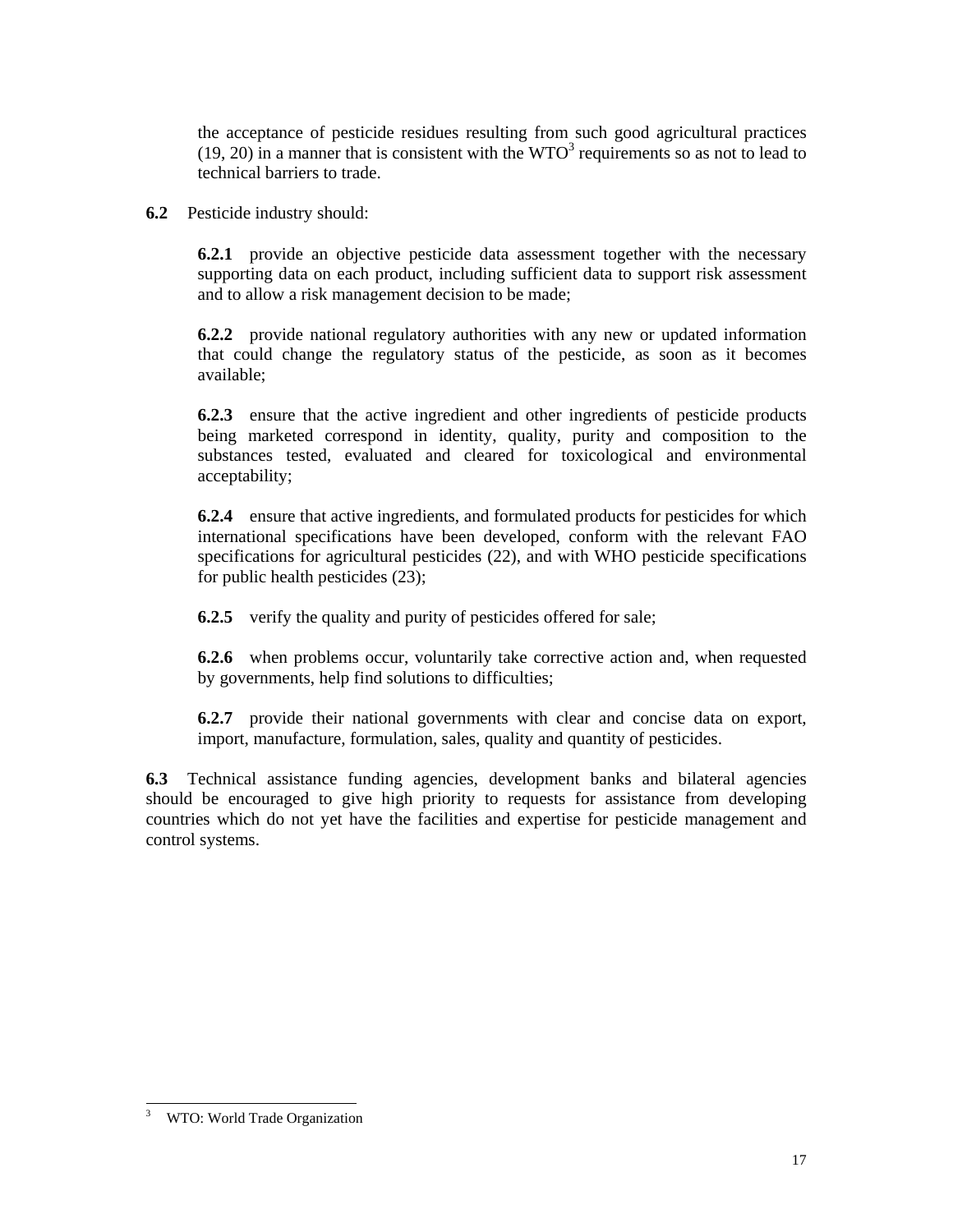the acceptance of pesticide residues resulting from such good agricultural practices  $(19, 20)$  in a manner that is consistent with the WTO<sup>3</sup> requirements so as not to lead to technical barriers to trade.

**6.2** Pesticide industry should:

**6.2.1** provide an objective pesticide data assessment together with the necessary supporting data on each product, including sufficient data to support risk assessment and to allow a risk management decision to be made;

**6.2.2** provide national regulatory authorities with any new or updated information that could change the regulatory status of the pesticide, as soon as it becomes available;

**6.2.3** ensure that the active ingredient and other ingredients of pesticide products being marketed correspond in identity, quality, purity and composition to the substances tested, evaluated and cleared for toxicological and environmental acceptability;

**6.2.4** ensure that active ingredients, and formulated products for pesticides for which international specifications have been developed, conform with the relevant FAO specifications for agricultural pesticides (22), and with WHO pesticide specifications for public health pesticides (23);

**6.2.5** verify the quality and purity of pesticides offered for sale;

**6.2.6** when problems occur, voluntarily take corrective action and, when requested by governments, help find solutions to difficulties;

**6.2.7** provide their national governments with clear and concise data on export, import, manufacture, formulation, sales, quality and quantity of pesticides.

**6.3** Technical assistance funding agencies, development banks and bilateral agencies should be encouraged to give high priority to requests for assistance from developing countries which do not yet have the facilities and expertise for pesticide management and control systems.

<sup>1</sup> 3 WTO: World Trade Organization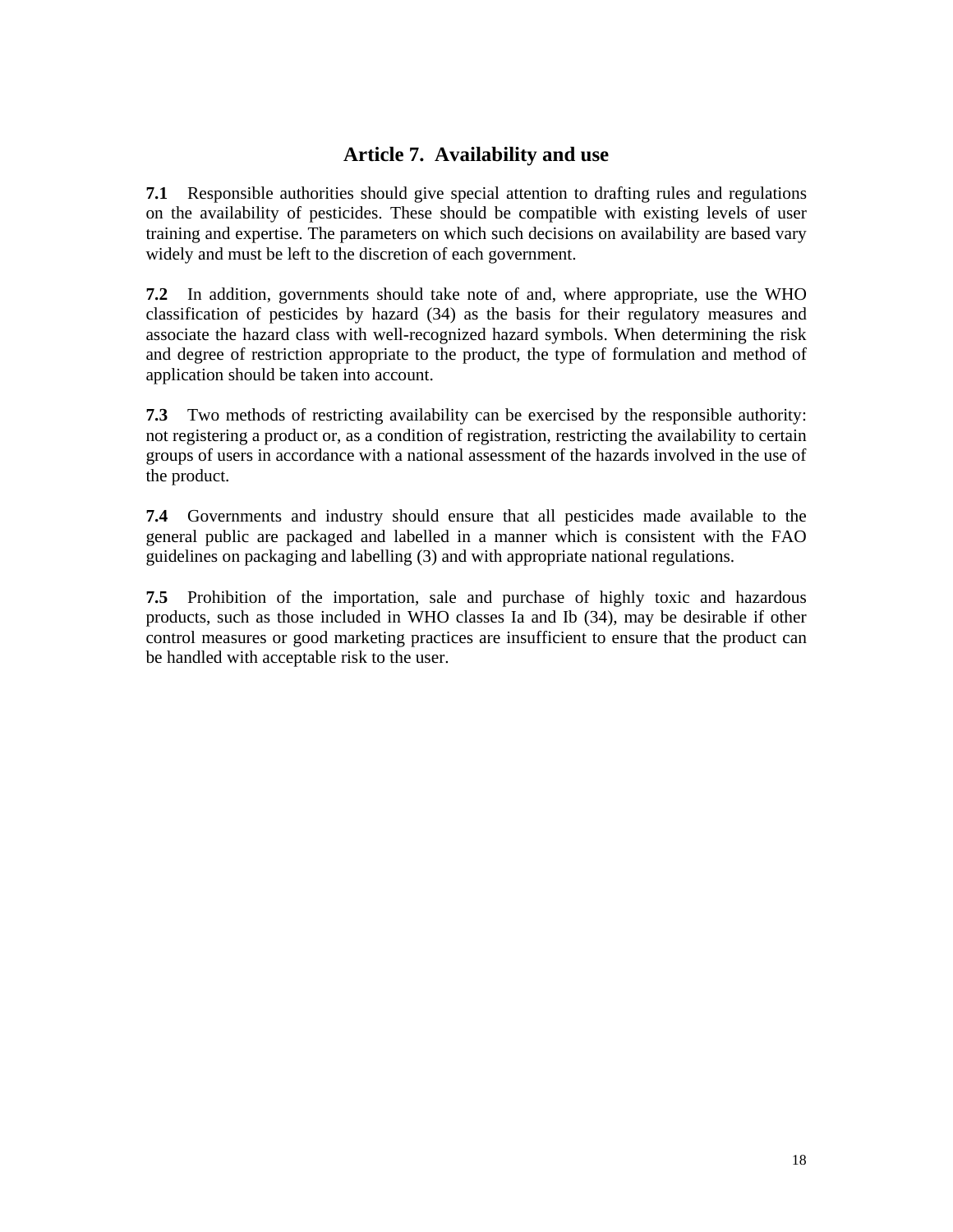#### **Article 7. Availability and use**

**7.1** Responsible authorities should give special attention to drafting rules and regulations on the availability of pesticides. These should be compatible with existing levels of user training and expertise. The parameters on which such decisions on availability are based vary widely and must be left to the discretion of each government.

**7.2** In addition, governments should take note of and, where appropriate, use the WHO classification of pesticides by hazard (34) as the basis for their regulatory measures and associate the hazard class with well-recognized hazard symbols. When determining the risk and degree of restriction appropriate to the product, the type of formulation and method of application should be taken into account.

**7.3** Two methods of restricting availability can be exercised by the responsible authority: not registering a product or, as a condition of registration, restricting the availability to certain groups of users in accordance with a national assessment of the hazards involved in the use of the product.

**7.4** Governments and industry should ensure that all pesticides made available to the general public are packaged and labelled in a manner which is consistent with the FAO guidelines on packaging and labelling (3) and with appropriate national regulations.

**7.5** Prohibition of the importation, sale and purchase of highly toxic and hazardous products, such as those included in WHO classes Ia and Ib (34), may be desirable if other control measures or good marketing practices are insufficient to ensure that the product can be handled with acceptable risk to the user.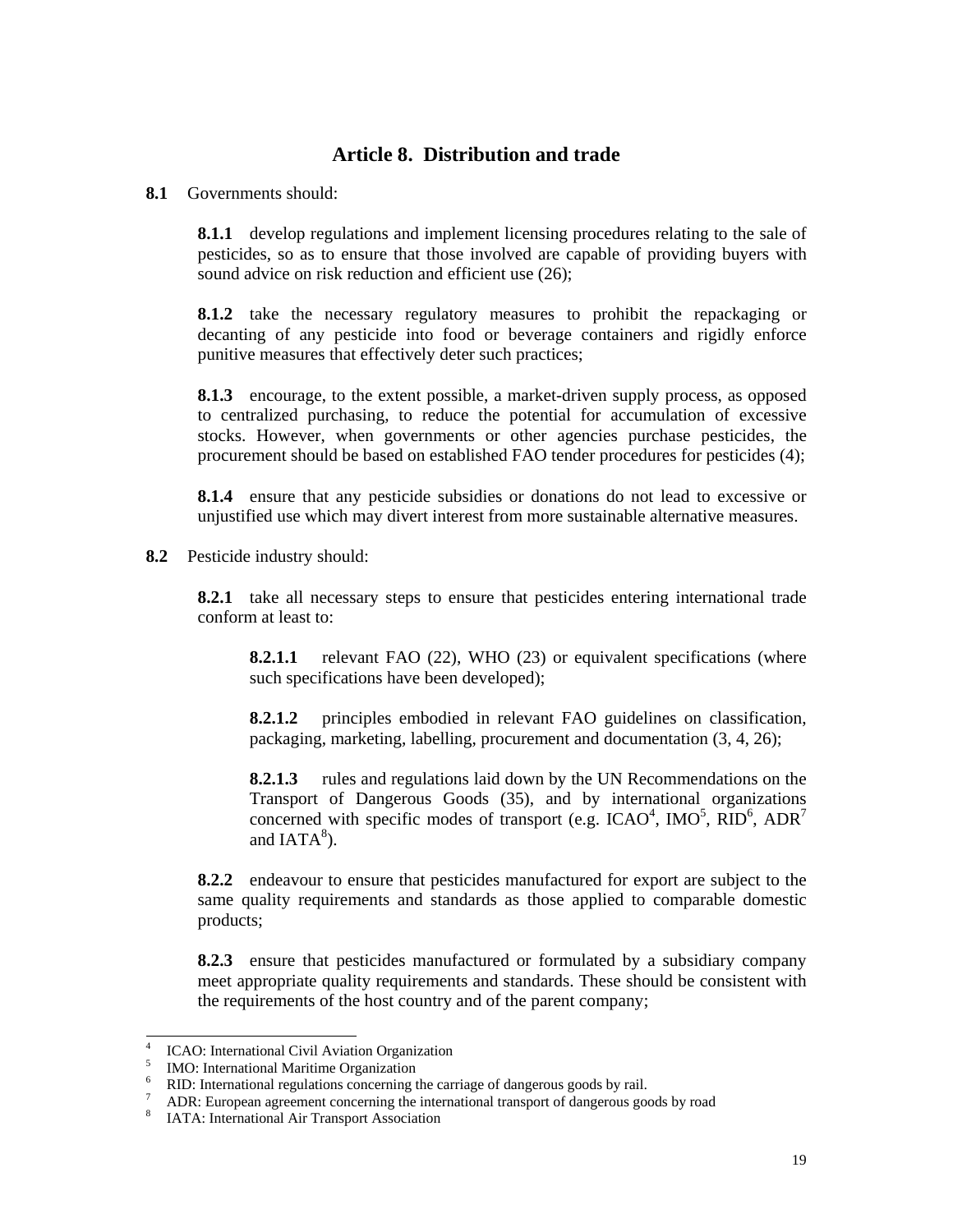### **Article 8. Distribution and trade**

**8.1** Governments should:

**8.1.1** develop regulations and implement licensing procedures relating to the sale of pesticides, so as to ensure that those involved are capable of providing buyers with sound advice on risk reduction and efficient use  $(26)$ ;

**8.1.2** take the necessary regulatory measures to prohibit the repackaging or decanting of any pesticide into food or beverage containers and rigidly enforce punitive measures that effectively deter such practices;

**8.1.3** encourage, to the extent possible, a market-driven supply process, as opposed to centralized purchasing, to reduce the potential for accumulation of excessive stocks. However, when governments or other agencies purchase pesticides, the procurement should be based on established FAO tender procedures for pesticides (4);

**8.1.4** ensure that any pesticide subsidies or donations do not lead to excessive or unjustified use which may divert interest from more sustainable alternative measures.

**8.2** Pesticide industry should:

**8.2.1** take all necessary steps to ensure that pesticides entering international trade conform at least to:

**8.2.1.1** relevant FAO (22), WHO (23) or equivalent specifications (where such specifications have been developed);

**8.2.1.2** principles embodied in relevant FAO guidelines on classification, packaging, marketing, labelling, procurement and documentation (3, 4, 26);

**8.2.1.3** rules and regulations laid down by the UN Recommendations on the Transport of Dangerous Goods (35), and by international organizations concerned with specific modes of transport (e.g. ICAO<sup>4</sup>, IMO<sup>5</sup>, RID<sup>6</sup>, ADR<sup>7</sup> and  $IATA<sup>8</sup>$ ).

**8.2.2** endeavour to ensure that pesticides manufactured for export are subject to the same quality requirements and standards as those applied to comparable domestic products;

**8.2.3** ensure that pesticides manufactured or formulated by a subsidiary company meet appropriate quality requirements and standards. These should be consistent with the requirements of the host country and of the parent company;

-

<sup>4</sup> ICAO: International Civil Aviation Organization

<sup>5</sup> IMO: International Maritime Organization

<sup>&</sup>lt;sup>6</sup> RID: International regulations concerning the carriage of dangerous goods by rail.

<sup>7</sup> ADR: European agreement concerning the international transport of dangerous goods by road

<sup>8</sup> IATA: International Air Transport Association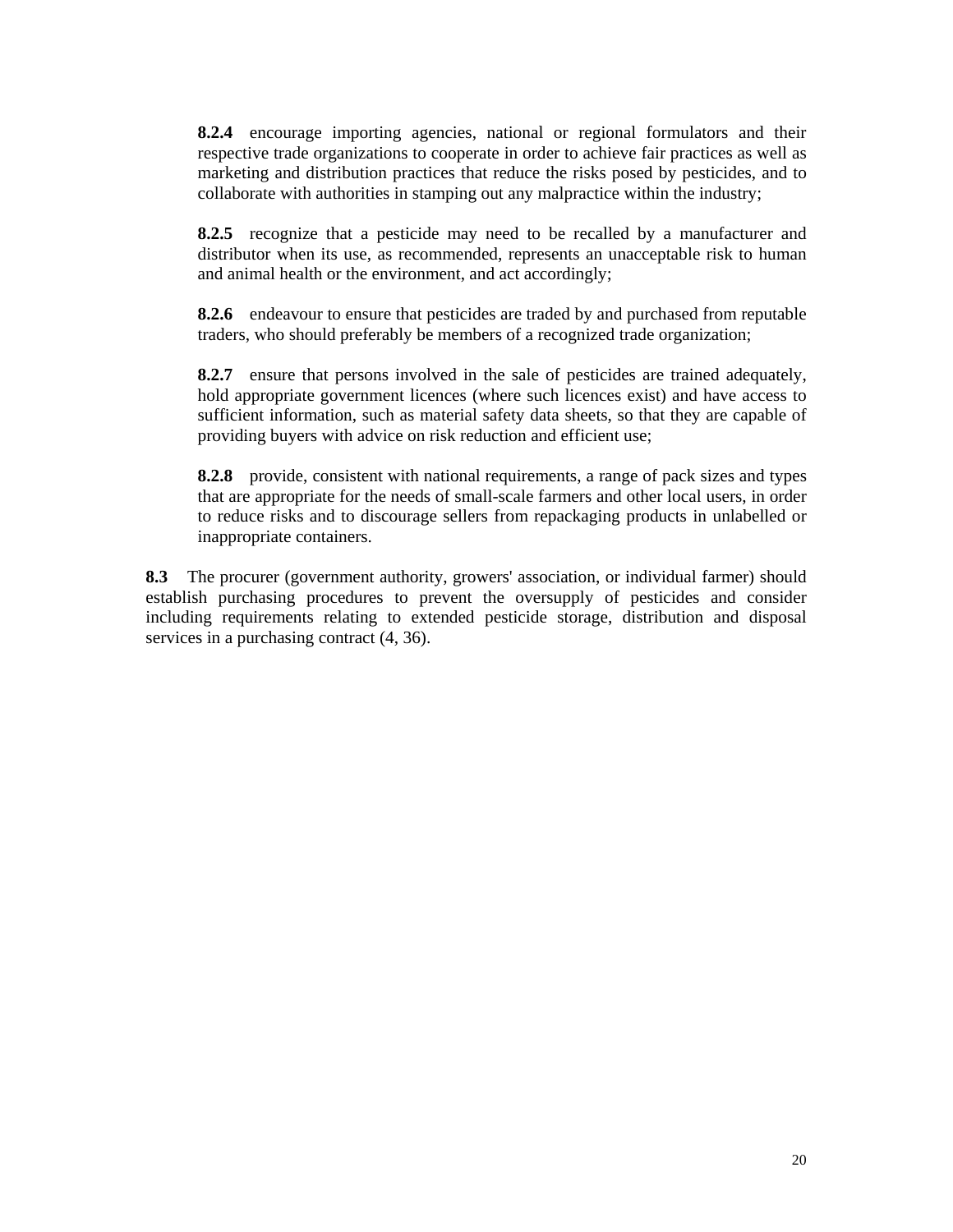**8.2.4** encourage importing agencies, national or regional formulators and their respective trade organizations to cooperate in order to achieve fair practices as well as marketing and distribution practices that reduce the risks posed by pesticides, and to collaborate with authorities in stamping out any malpractice within the industry;

**8.2.5** recognize that a pesticide may need to be recalled by a manufacturer and distributor when its use, as recommended, represents an unacceptable risk to human and animal health or the environment, and act accordingly;

**8.2.6** endeavour to ensure that pesticides are traded by and purchased from reputable traders, who should preferably be members of a recognized trade organization;

**8.2.7** ensure that persons involved in the sale of pesticides are trained adequately, hold appropriate government licences (where such licences exist) and have access to sufficient information, such as material safety data sheets, so that they are capable of providing buyers with advice on risk reduction and efficient use;

**8.2.8** provide, consistent with national requirements, a range of pack sizes and types that are appropriate for the needs of small-scale farmers and other local users, in order to reduce risks and to discourage sellers from repackaging products in unlabelled or inappropriate containers.

**8.3** The procurer (government authority, growers' association, or individual farmer) should establish purchasing procedures to prevent the oversupply of pesticides and consider including requirements relating to extended pesticide storage, distribution and disposal services in a purchasing contract (4, 36).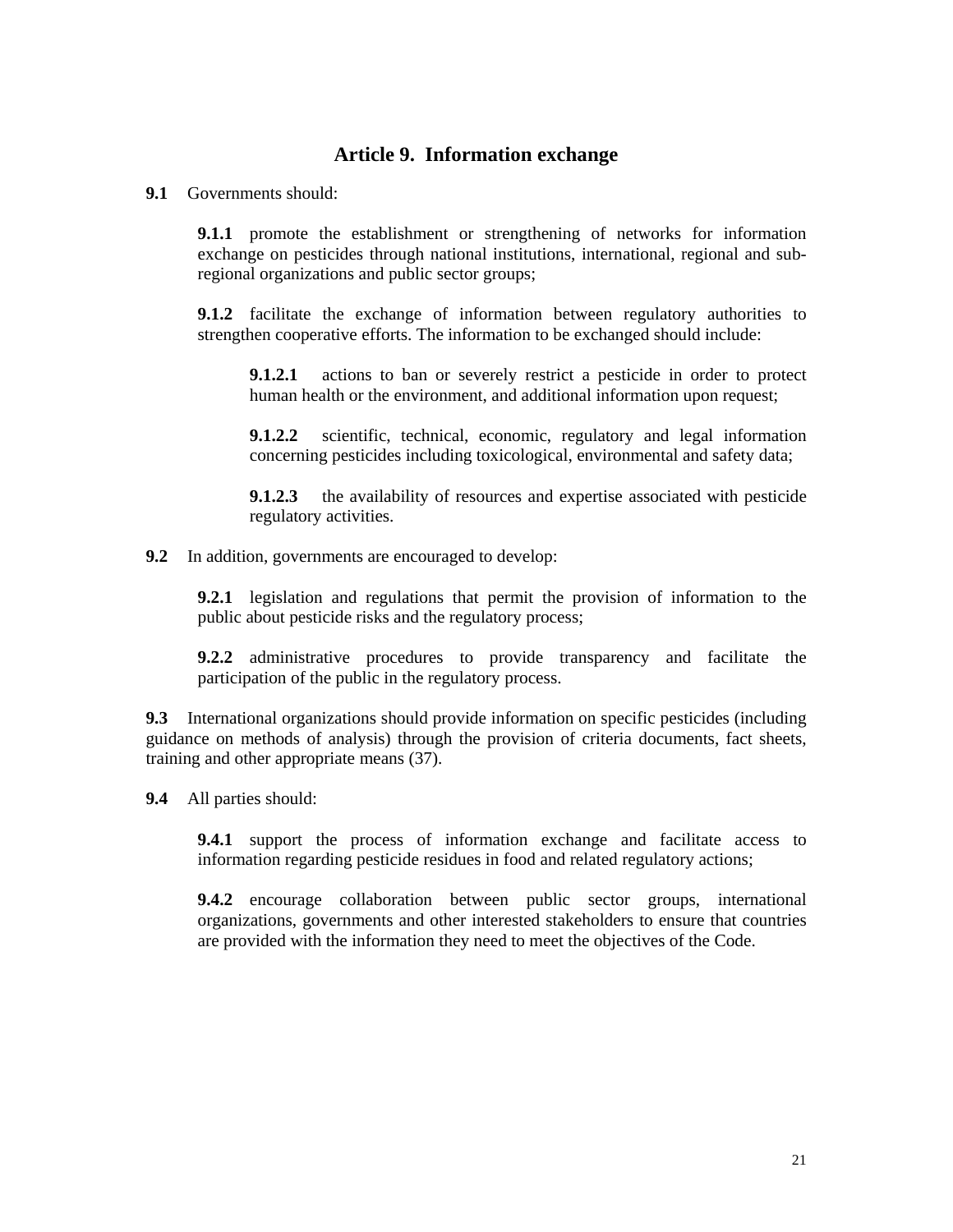#### **Article 9. Information exchange**

**9.1** Governments should:

**9.1.1** promote the establishment or strengthening of networks for information exchange on pesticides through national institutions, international, regional and subregional organizations and public sector groups;

**9.1.2** facilitate the exchange of information between regulatory authorities to strengthen cooperative efforts. The information to be exchanged should include:

**9.1.2.1** actions to ban or severely restrict a pesticide in order to protect human health or the environment, and additional information upon request;

**9.1.2.2** scientific, technical, economic, regulatory and legal information concerning pesticides including toxicological, environmental and safety data;

**9.1.2.3** the availability of resources and expertise associated with pesticide regulatory activities.

**9.2** In addition, governments are encouraged to develop:

**9.2.1** legislation and regulations that permit the provision of information to the public about pesticide risks and the regulatory process;

**9.2.2** administrative procedures to provide transparency and facilitate the participation of the public in the regulatory process.

**9.3** International organizations should provide information on specific pesticides (including guidance on methods of analysis) through the provision of criteria documents, fact sheets, training and other appropriate means (37).

**9.4** All parties should:

**9.4.1** support the process of information exchange and facilitate access to information regarding pesticide residues in food and related regulatory actions;

**9.4.2** encourage collaboration between public sector groups, international organizations, governments and other interested stakeholders to ensure that countries are provided with the information they need to meet the objectives of the Code.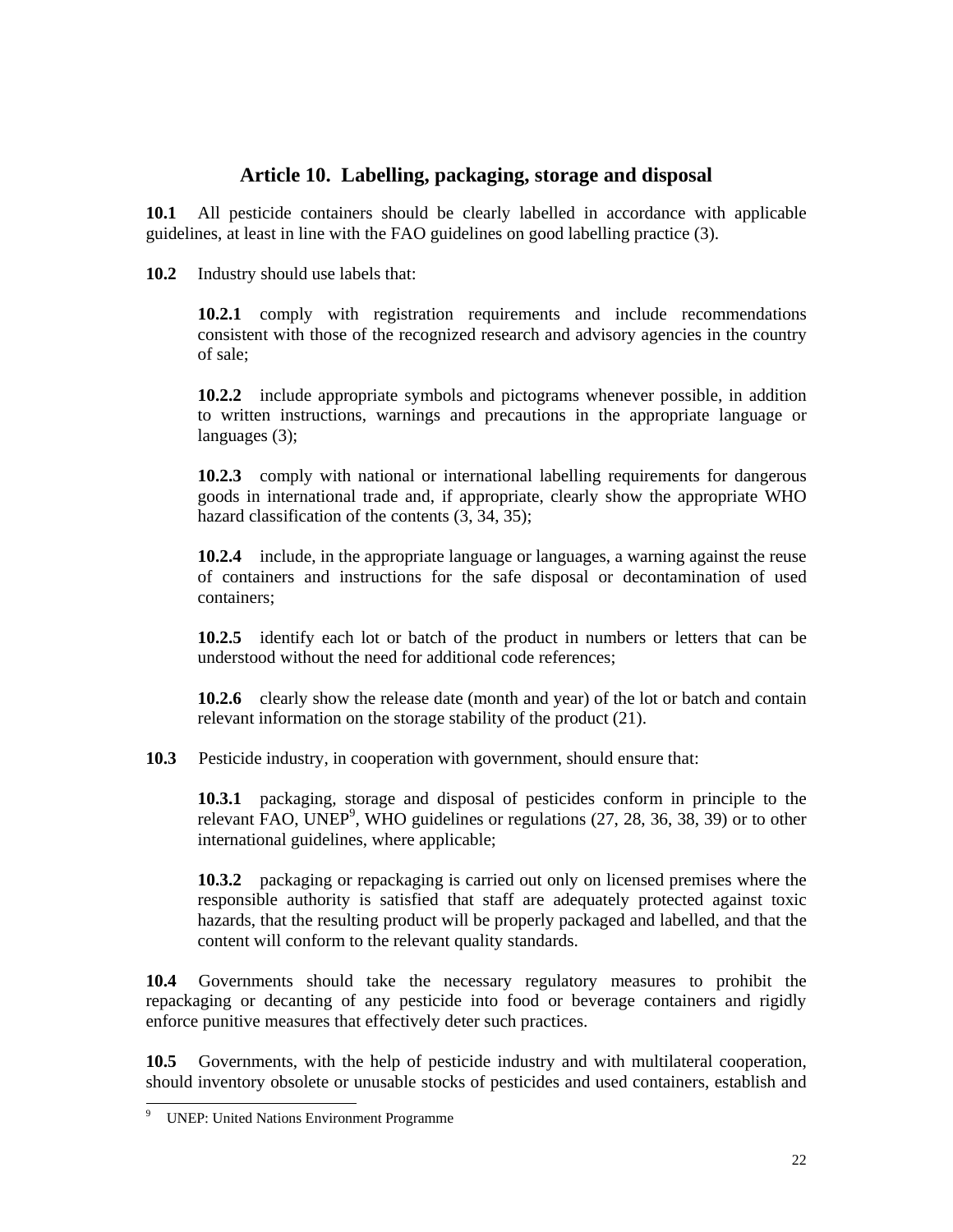### **Article 10. Labelling, packaging, storage and disposal**

**10.1** All pesticide containers should be clearly labelled in accordance with applicable guidelines, at least in line with the FAO guidelines on good labelling practice (3).

**10.2** Industry should use labels that:

**10.2.1** comply with registration requirements and include recommendations consistent with those of the recognized research and advisory agencies in the country of sale;

**10.2.2** include appropriate symbols and pictograms whenever possible, in addition to written instructions, warnings and precautions in the appropriate language or languages (3);

**10.2.3** comply with national or international labelling requirements for dangerous goods in international trade and, if appropriate, clearly show the appropriate WHO hazard classification of the contents  $(3, 34, 35)$ ;

**10.2.4** include, in the appropriate language or languages, a warning against the reuse of containers and instructions for the safe disposal or decontamination of used containers;

**10.2.5** identify each lot or batch of the product in numbers or letters that can be understood without the need for additional code references;

**10.2.6** clearly show the release date (month and year) of the lot or batch and contain relevant information on the storage stability of the product (21).

**10.3** Pesticide industry, in cooperation with government, should ensure that:

**10.3.1** packaging, storage and disposal of pesticides conform in principle to the relevant FAO, UNEP<sup>9</sup>, WHO guidelines or regulations (27, 28, 36, 38, 39) or to other international guidelines, where applicable;

**10.3.2** packaging or repackaging is carried out only on licensed premises where the responsible authority is satisfied that staff are adequately protected against toxic hazards, that the resulting product will be properly packaged and labelled, and that the content will conform to the relevant quality standards.

**10.4** Governments should take the necessary regulatory measures to prohibit the repackaging or decanting of any pesticide into food or beverage containers and rigidly enforce punitive measures that effectively deter such practices.

**10.5** Governments, with the help of pesticide industry and with multilateral cooperation, should inventory obsolete or unusable stocks of pesticides and used containers, establish and

1

<sup>9</sup> UNEP: United Nations Environment Programme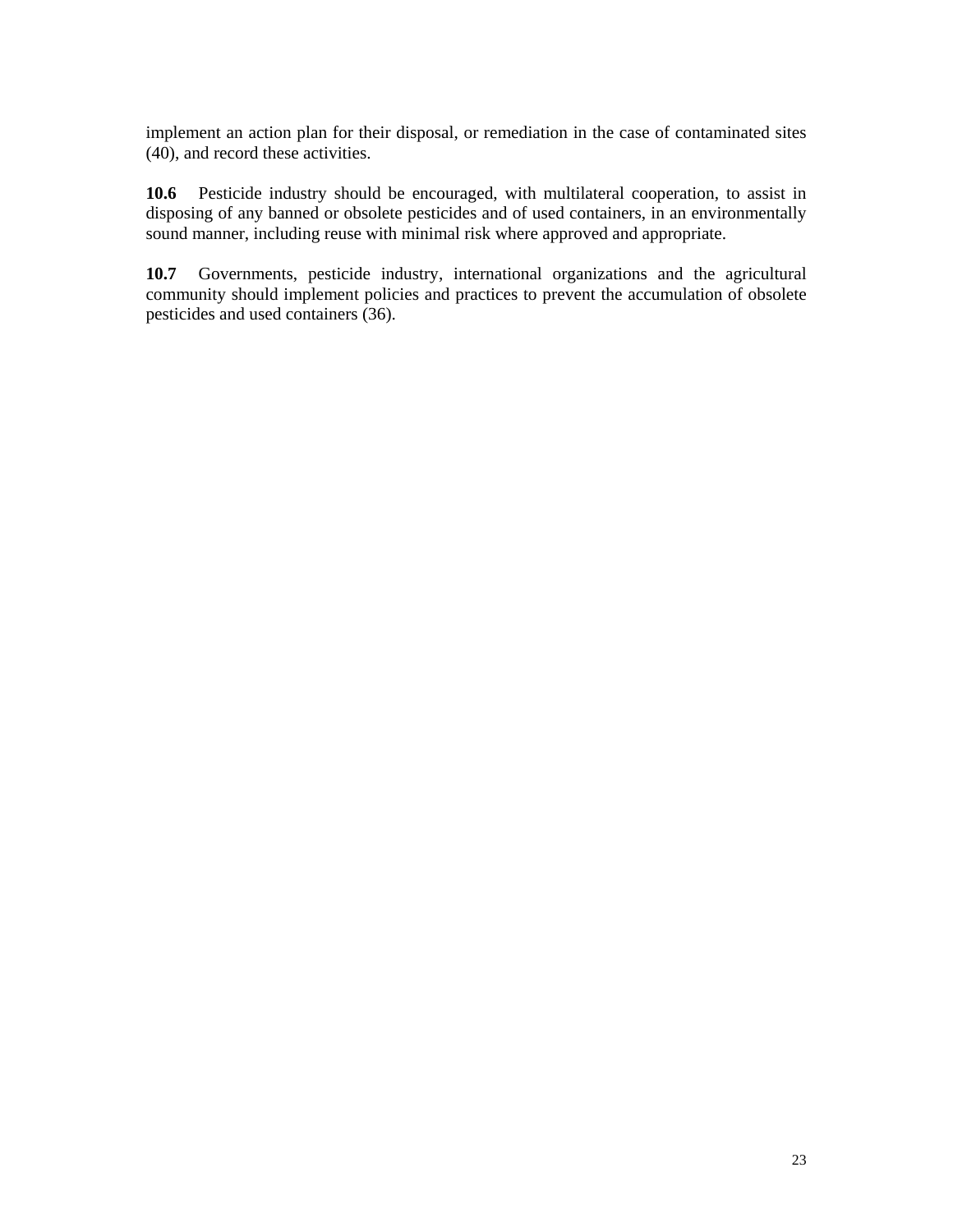implement an action plan for their disposal, or remediation in the case of contaminated sites (40), and record these activities.

**10.6** Pesticide industry should be encouraged, with multilateral cooperation, to assist in disposing of any banned or obsolete pesticides and of used containers, in an environmentally sound manner, including reuse with minimal risk where approved and appropriate.

**10.7** Governments, pesticide industry, international organizations and the agricultural community should implement policies and practices to prevent the accumulation of obsolete pesticides and used containers (36).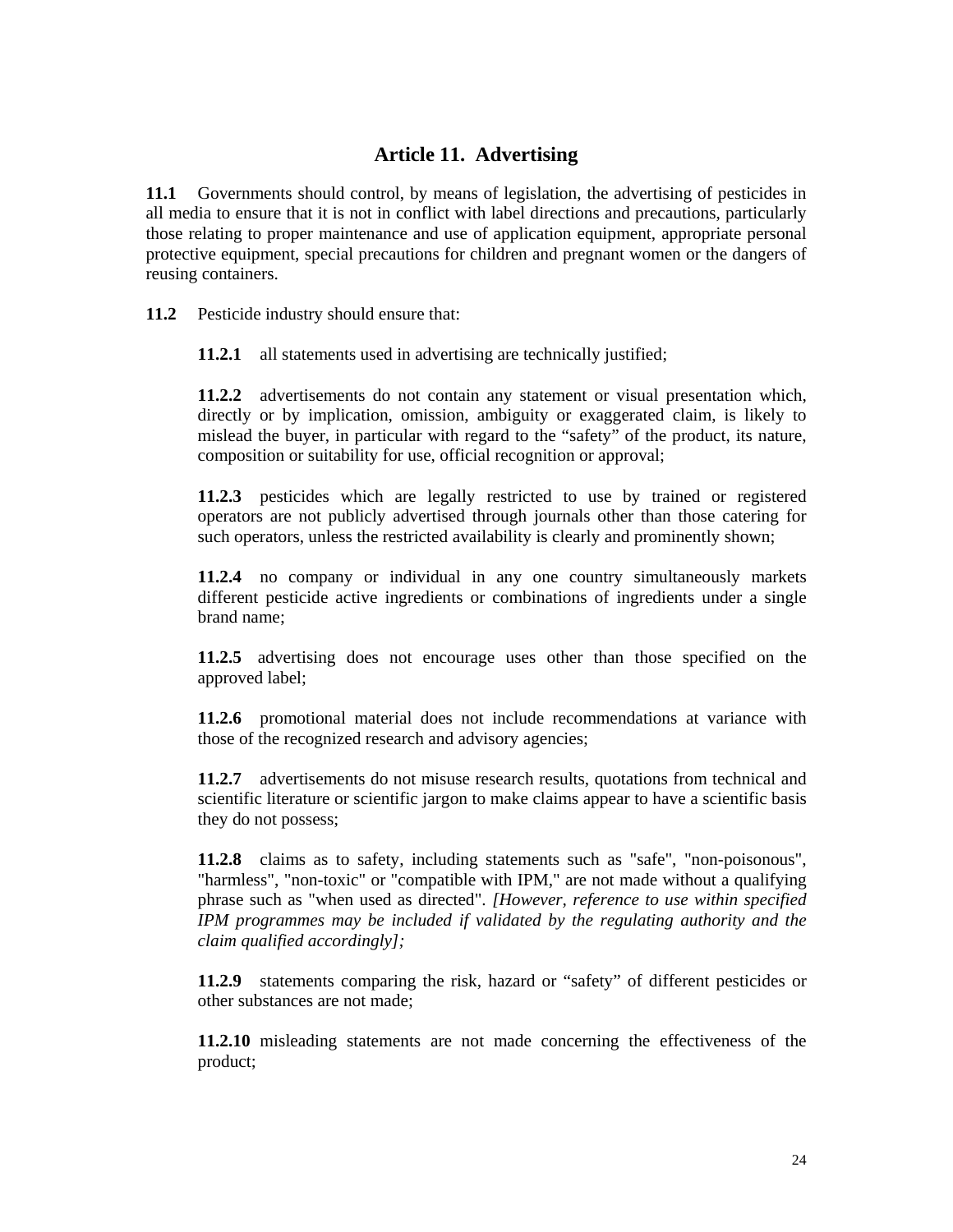## **Article 11. Advertising**

**11.1** Governments should control, by means of legislation, the advertising of pesticides in all media to ensure that it is not in conflict with label directions and precautions, particularly those relating to proper maintenance and use of application equipment, appropriate personal protective equipment, special precautions for children and pregnant women or the dangers of reusing containers.

**11.2** Pesticide industry should ensure that:

**11.2.1** all statements used in advertising are technically justified;

**11.2.2** advertisements do not contain any statement or visual presentation which, directly or by implication, omission, ambiguity or exaggerated claim, is likely to mislead the buyer, in particular with regard to the "safety" of the product, its nature, composition or suitability for use, official recognition or approval;

**11.2.3** pesticides which are legally restricted to use by trained or registered operators are not publicly advertised through journals other than those catering for such operators, unless the restricted availability is clearly and prominently shown;

**11.2.4** no company or individual in any one country simultaneously markets different pesticide active ingredients or combinations of ingredients under a single brand name;

**11.2.5** advertising does not encourage uses other than those specified on the approved label;

**11.2.6** promotional material does not include recommendations at variance with those of the recognized research and advisory agencies;

**11.2.7** advertisements do not misuse research results, quotations from technical and scientific literature or scientific jargon to make claims appear to have a scientific basis they do not possess;

**11.2.8** claims as to safety, including statements such as "safe", "non-poisonous", "harmless", "non-toxic" or "compatible with IPM," are not made without a qualifying phrase such as "when used as directed". *[However, reference to use within specified IPM programmes may be included if validated by the regulating authority and the claim qualified accordingly];* 

**11.2.9** statements comparing the risk, hazard or "safety" of different pesticides or other substances are not made;

**11.2.10** misleading statements are not made concerning the effectiveness of the product;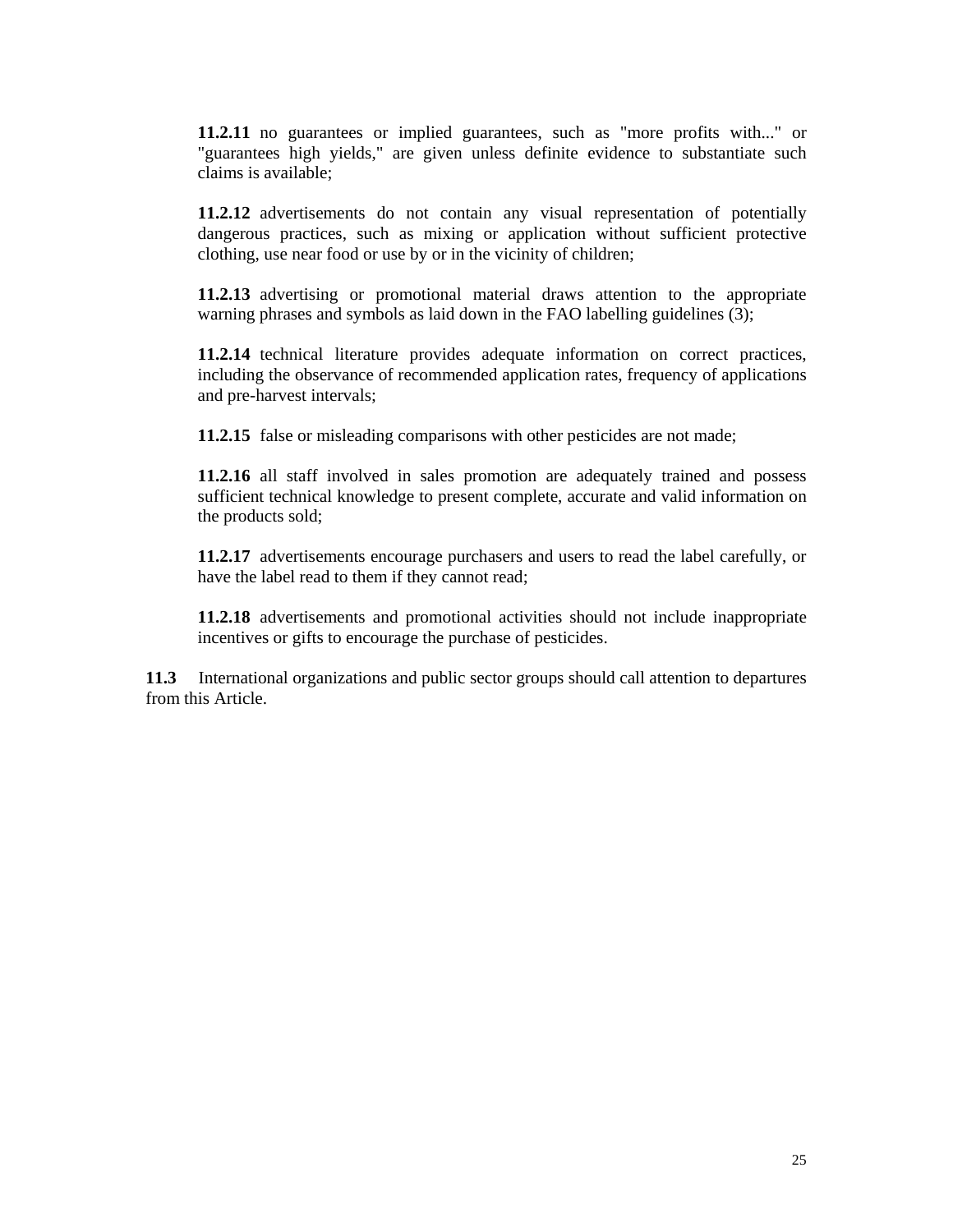**11.2.11** no guarantees or implied guarantees, such as "more profits with..." or "guarantees high yields," are given unless definite evidence to substantiate such claims is available;

**11.2.12** advertisements do not contain any visual representation of potentially dangerous practices, such as mixing or application without sufficient protective clothing, use near food or use by or in the vicinity of children;

**11.2.13** advertising or promotional material draws attention to the appropriate warning phrases and symbols as laid down in the FAO labelling guidelines (3);

**11.2.14** technical literature provides adequate information on correct practices, including the observance of recommended application rates, frequency of applications and pre-harvest intervals;

**11.2.15** false or misleading comparisons with other pesticides are not made;

**11.2.16** all staff involved in sales promotion are adequately trained and possess sufficient technical knowledge to present complete, accurate and valid information on the products sold;

**11.2.17** advertisements encourage purchasers and users to read the label carefully, or have the label read to them if they cannot read;

**11.2.18** advertisements and promotional activities should not include inappropriate incentives or gifts to encourage the purchase of pesticides.

**11.3** International organizations and public sector groups should call attention to departures from this Article.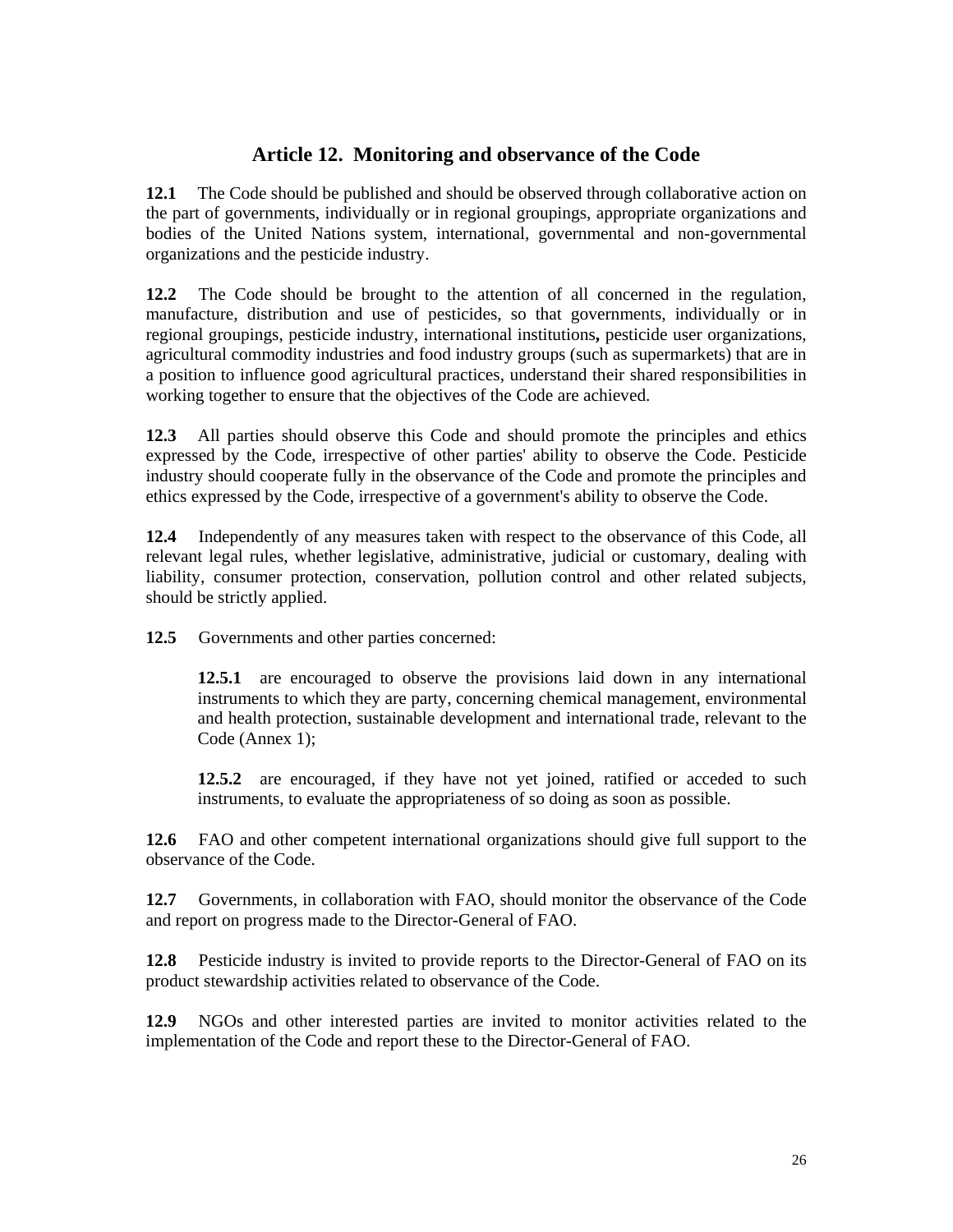## **Article 12. Monitoring and observance of the Code**

**12.1** The Code should be published and should be observed through collaborative action on the part of governments, individually or in regional groupings, appropriate organizations and bodies of the United Nations system, international, governmental and non-governmental organizations and the pesticide industry.

**12.2** The Code should be brought to the attention of all concerned in the regulation, manufacture, distribution and use of pesticides, so that governments, individually or in regional groupings, pesticide industry, international institutions**,** pesticide user organizations, agricultural commodity industries and food industry groups (such as supermarkets) that are in a position to influence good agricultural practices, understand their shared responsibilities in working together to ensure that the objectives of the Code are achieved.

**12.3** All parties should observe this Code and should promote the principles and ethics expressed by the Code, irrespective of other parties' ability to observe the Code. Pesticide industry should cooperate fully in the observance of the Code and promote the principles and ethics expressed by the Code, irrespective of a government's ability to observe the Code.

**12.4** Independently of any measures taken with respect to the observance of this Code, all relevant legal rules, whether legislative, administrative, judicial or customary, dealing with liability, consumer protection, conservation, pollution control and other related subjects, should be strictly applied.

**12.5** Governments and other parties concerned:

**12.5.1** are encouraged to observe the provisions laid down in any international instruments to which they are party, concerning chemical management, environmental and health protection, sustainable development and international trade, relevant to the Code (Annex 1);

**12.5.2** are encouraged, if they have not yet joined, ratified or acceded to such instruments, to evaluate the appropriateness of so doing as soon as possible.

**12.6** FAO and other competent international organizations should give full support to the observance of the Code.

**12.7** Governments, in collaboration with FAO, should monitor the observance of the Code and report on progress made to the Director-General of FAO.

**12.8** Pesticide industry is invited to provide reports to the Director-General of FAO on its product stewardship activities related to observance of the Code.

**12.9** NGOs and other interested parties are invited to monitor activities related to the implementation of the Code and report these to the Director-General of FAO.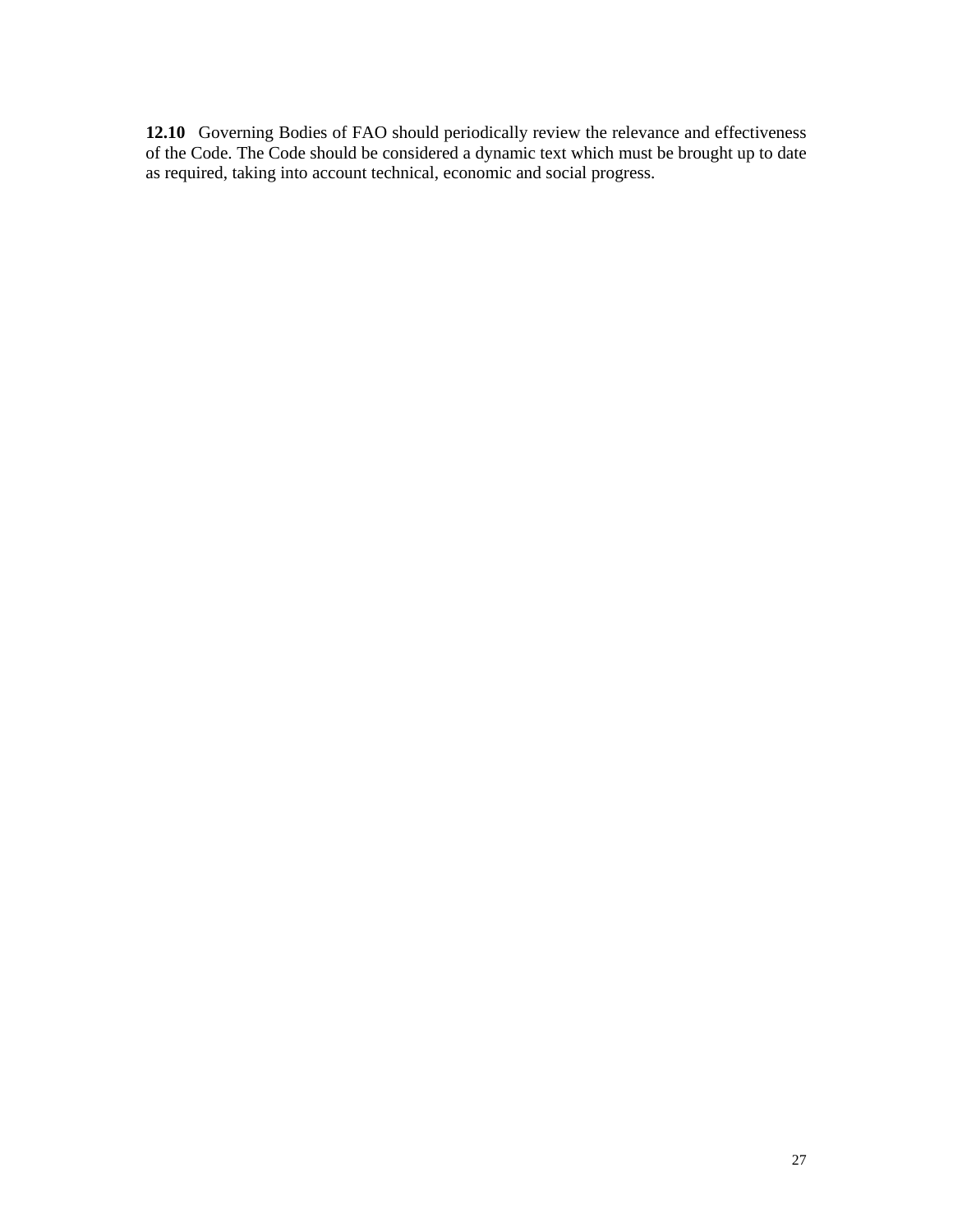**12.10** Governing Bodies of FAO should periodically review the relevance and effectiveness of the Code. The Code should be considered a dynamic text which must be brought up to date as required, taking into account technical, economic and social progress.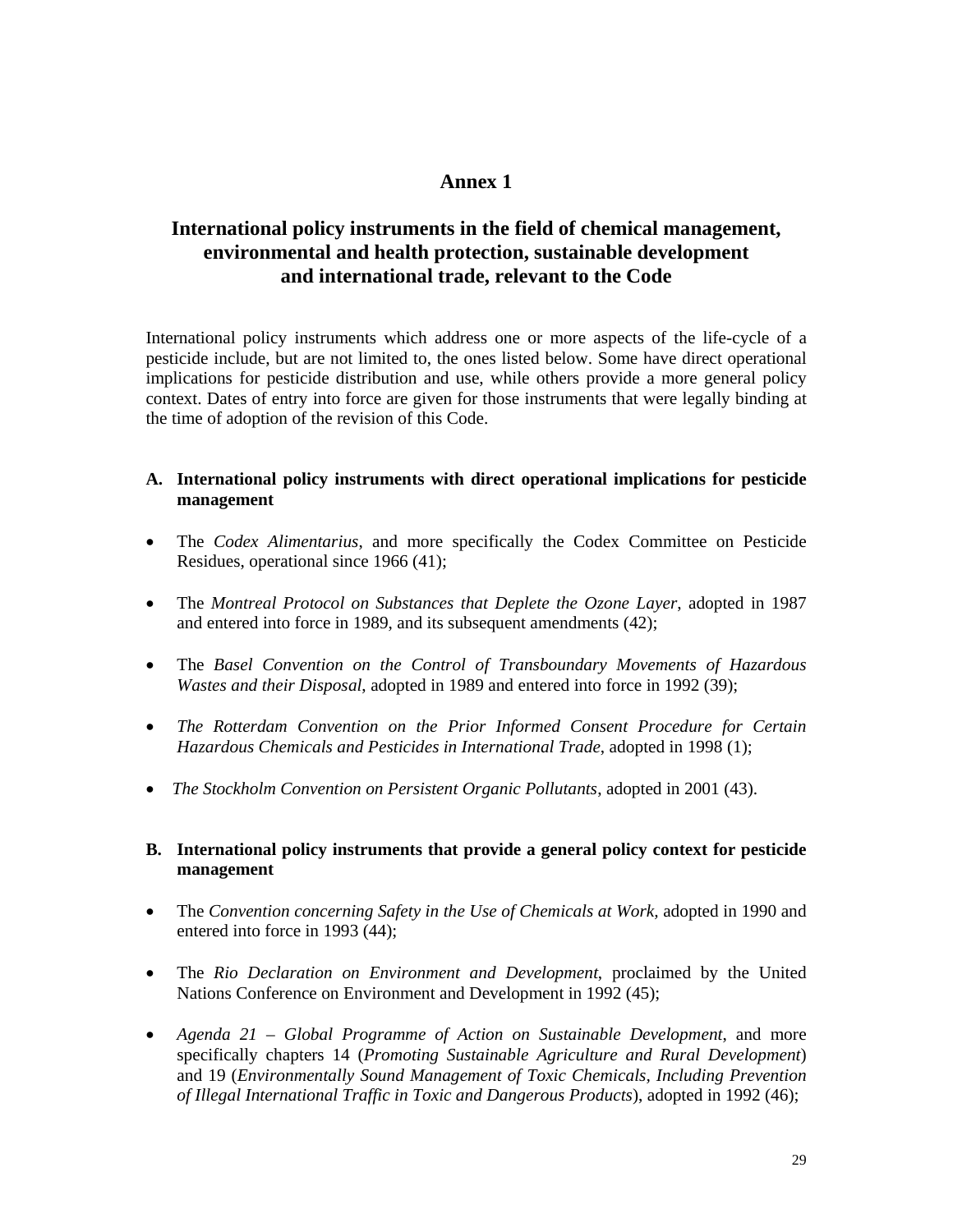### **Annex 1**

## **International policy instruments in the field of chemical management, environmental and health protection, sustainable development and international trade, relevant to the Code**

International policy instruments which address one or more aspects of the life-cycle of a pesticide include, but are not limited to, the ones listed below. Some have direct operational implications for pesticide distribution and use, while others provide a more general policy context. Dates of entry into force are given for those instruments that were legally binding at the time of adoption of the revision of this Code.

#### **A. International policy instruments with direct operational implications for pesticide management**

- The *Codex Alimentarius*, and more specifically the Codex Committee on Pesticide Residues, operational since 1966 (41);
- The *Montreal Protocol on Substances that Deplete the Ozone Layer*, adopted in 1987 and entered into force in 1989, and its subsequent amendments (42);
- The *Basel Convention on the Control of Transboundary Movements of Hazardous Wastes and their Disposal*, adopted in 1989 and entered into force in 1992 (39);
- *The Rotterdam Convention on the Prior Informed Consent Procedure for Certain Hazardous Chemicals and Pesticides in International Trade*, adopted in 1998 (1);
- *The Stockholm Convention on Persistent Organic Pollutants*, adopted in 2001 (43).

#### **B. International policy instruments that provide a general policy context for pesticide management**

- The *Convention concerning Safety in the Use of Chemicals at Work*, adopted in 1990 and entered into force in 1993 (44);
- The *Rio Declaration on Environment and Development*, proclaimed by the United Nations Conference on Environment and Development in 1992 (45);
- *Agenda 21 Global Programme of Action on Sustainable Development*, and more specifically chapters 14 (*Promoting Sustainable Agriculture and Rural Development*) and 19 (*Environmentally Sound Management of Toxic Chemicals, Including Prevention of Illegal International Traffic in Toxic and Dangerous Products*), adopted in 1992 (46);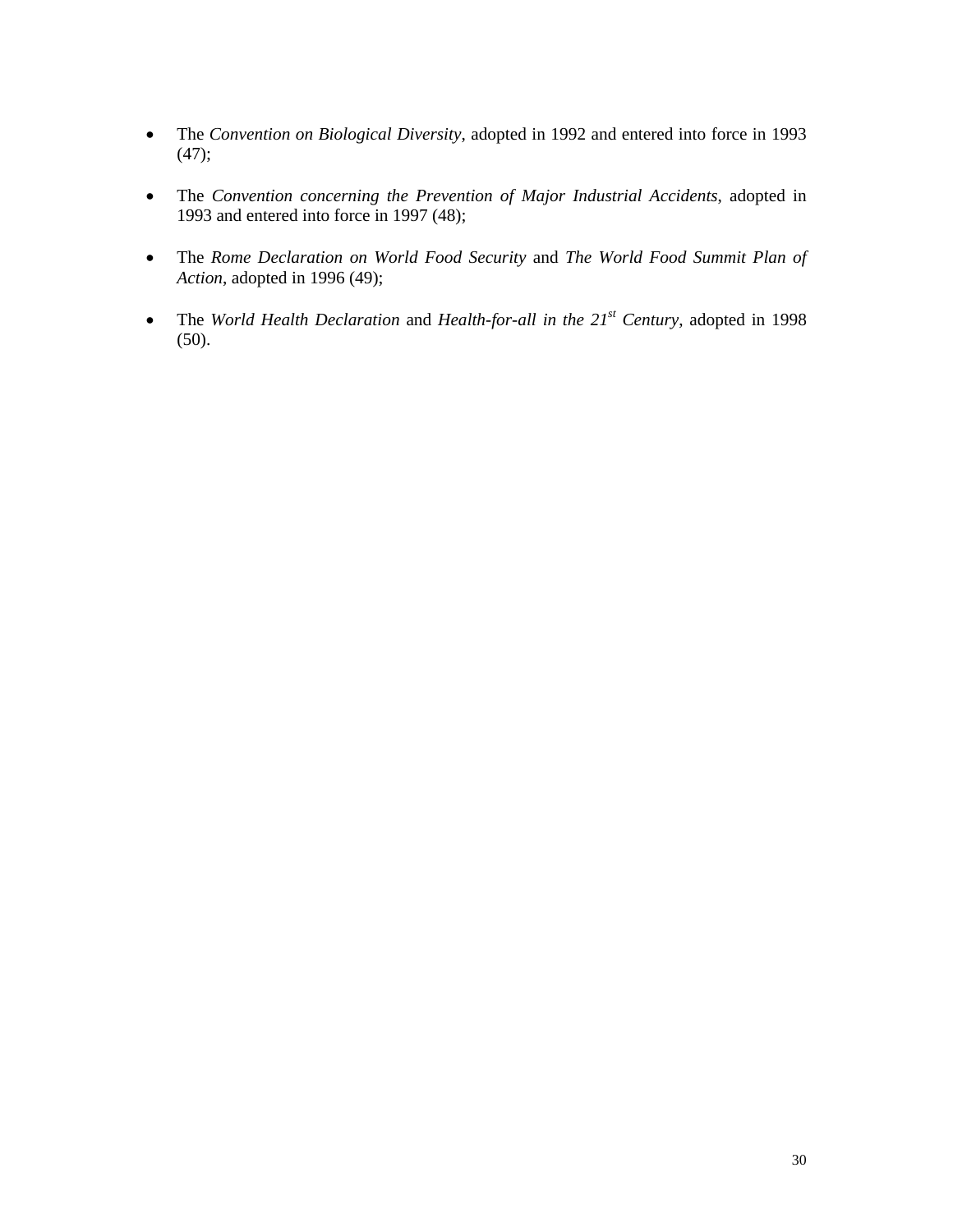- The *Convention on Biological Diversity*, adopted in 1992 and entered into force in 1993  $(47);$
- The *Convention concerning the Prevention of Major Industrial Accidents*, adopted in 1993 and entered into force in 1997 (48);
- The *Rome Declaration on World Food Security* and *The World Food Summit Plan of Action*, adopted in 1996 (49);
- The *World Health Declaration* and *Health-for-all in the 21st Century*, adopted in 1998 (50).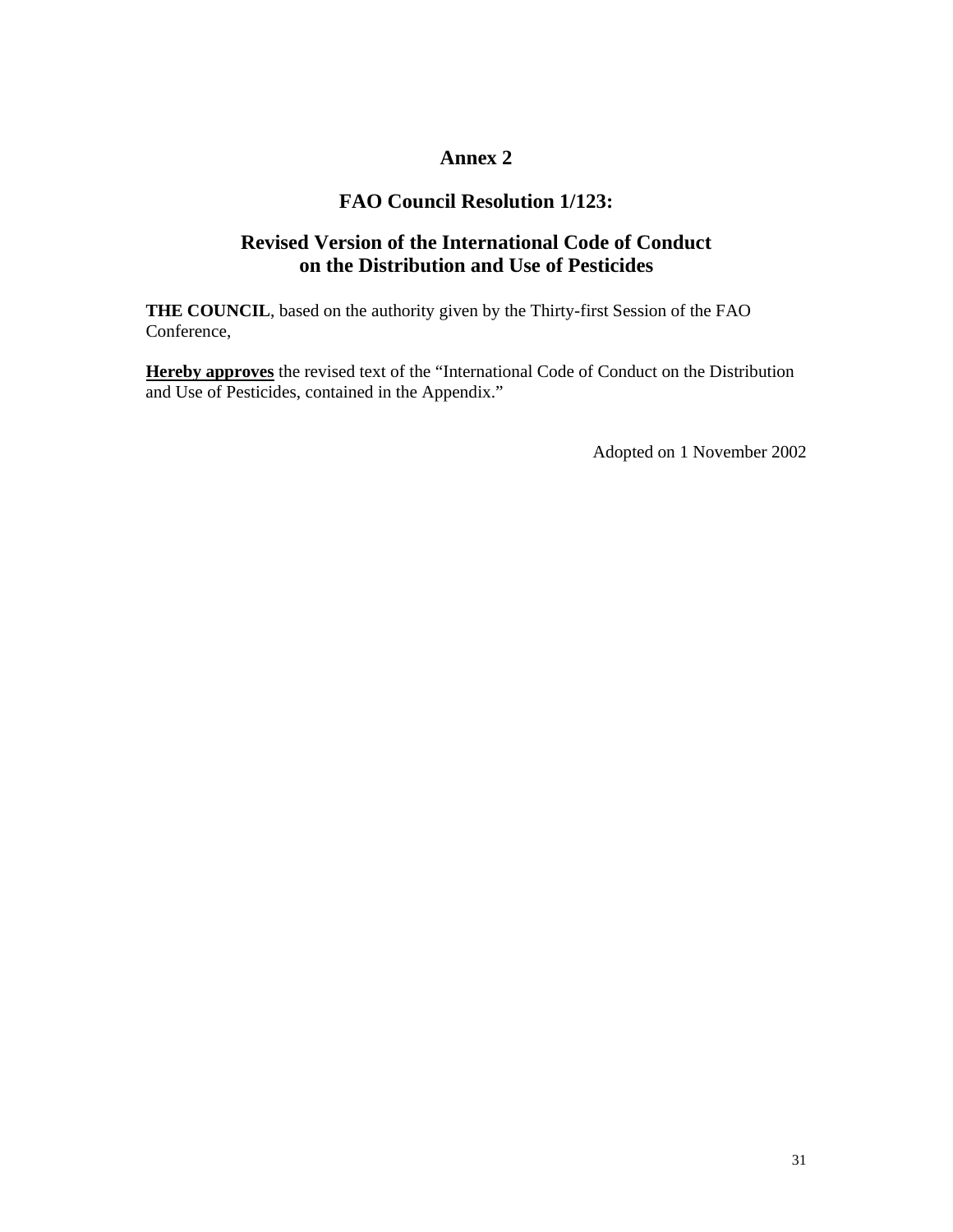## **Annex 2**

## **FAO Council Resolution 1/123:**

## **Revised Version of the International Code of Conduct on the Distribution and Use of Pesticides**

**THE COUNCIL**, based on the authority given by the Thirty-first Session of the FAO Conference,

**Hereby approves** the revised text of the "International Code of Conduct on the Distribution and Use of Pesticides, contained in the Appendix."

Adopted on 1 November 2002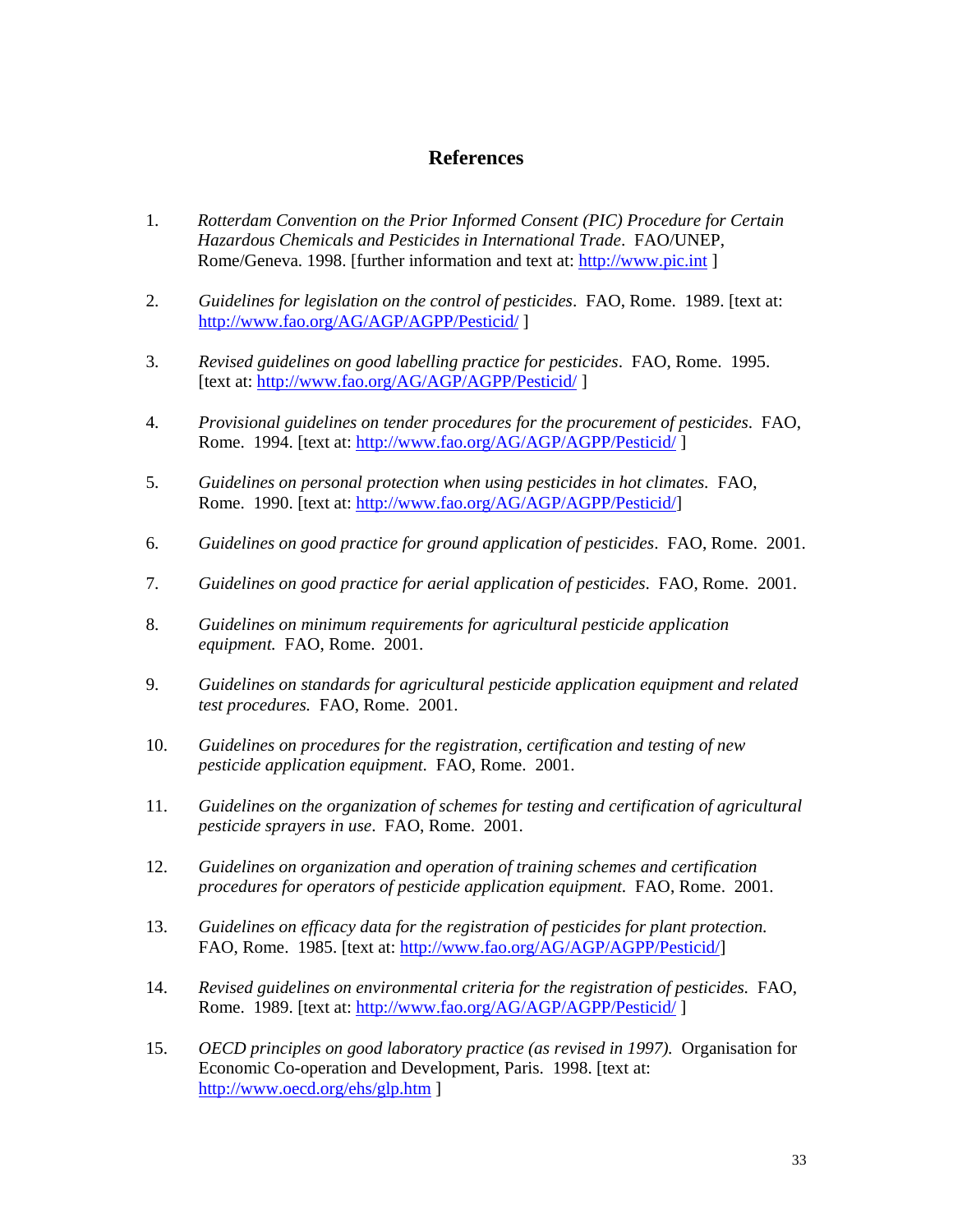#### **References**

- 1. *Rotterdam Convention on the Prior Informed Consent (PIC) Procedure for Certain Hazardous Chemicals and Pesticides in International Trade*. FAO/UNEP, Rome/Geneva. 1998. [further information and text at: http://www.pic.int ]
- 2. *Guidelines for legislation on the control of pesticides*. FAO, Rome. 1989. [text at: http://www.fao.org/AG/AGP/AGPP/Pesticid/ ]
- 3. *Revised guidelines on good labelling practice for pesticides*. FAO, Rome. 1995. [text at: http://www.fao.org/AG/AGP/AGPP/Pesticid/]
- 4. *Provisional guidelines on tender procedures for the procurement of pesticides*. FAO, Rome. 1994. [text at: http://www.fao.org/AG/AGP/AGPP/Pesticid/ ]
- 5. *Guidelines on personal protection when using pesticides in hot climates.* FAO, Rome. 1990. [text at: http://www.fao.org/AG/AGP/AGPP/Pesticid/]
- 6. *Guidelines on good practice for ground application of pesticides*. FAO, Rome. 2001.
- 7. *Guidelines on good practice for aerial application of pesticides*. FAO, Rome. 2001.
- 8. *Guidelines on minimum requirements for agricultural pesticide application equipment.* FAO, Rome. 2001.
- 9. *Guidelines on standards for agricultural pesticide application equipment and related test procedures.* FAO, Rome. 2001.
- 10. *Guidelines on procedures for the registration, certification and testing of new pesticide application equipment*. FAO, Rome. 2001.
- 11. *Guidelines on the organization of schemes for testing and certification of agricultural pesticide sprayers in use*. FAO, Rome. 2001.
- 12. *Guidelines on organization and operation of training schemes and certification procedures for operators of pesticide application equipment*. FAO, Rome. 2001.
- 13. *Guidelines on efficacy data for the registration of pesticides for plant protection.* FAO, Rome. 1985. [text at: http://www.fao.org/AG/AGP/AGPP/Pesticid/]
- 14. *Revised guidelines on environmental criteria for the registration of pesticides.* FAO, Rome. 1989. [text at: http://www.fao.org/AG/AGP/AGPP/Pesticid/ ]
- 15. *OECD principles on good laboratory practice (as revised in 1997).* Organisation for Economic Co-operation and Development, Paris. 1998. [text at: http://www.oecd.org/ehs/glp.htm ]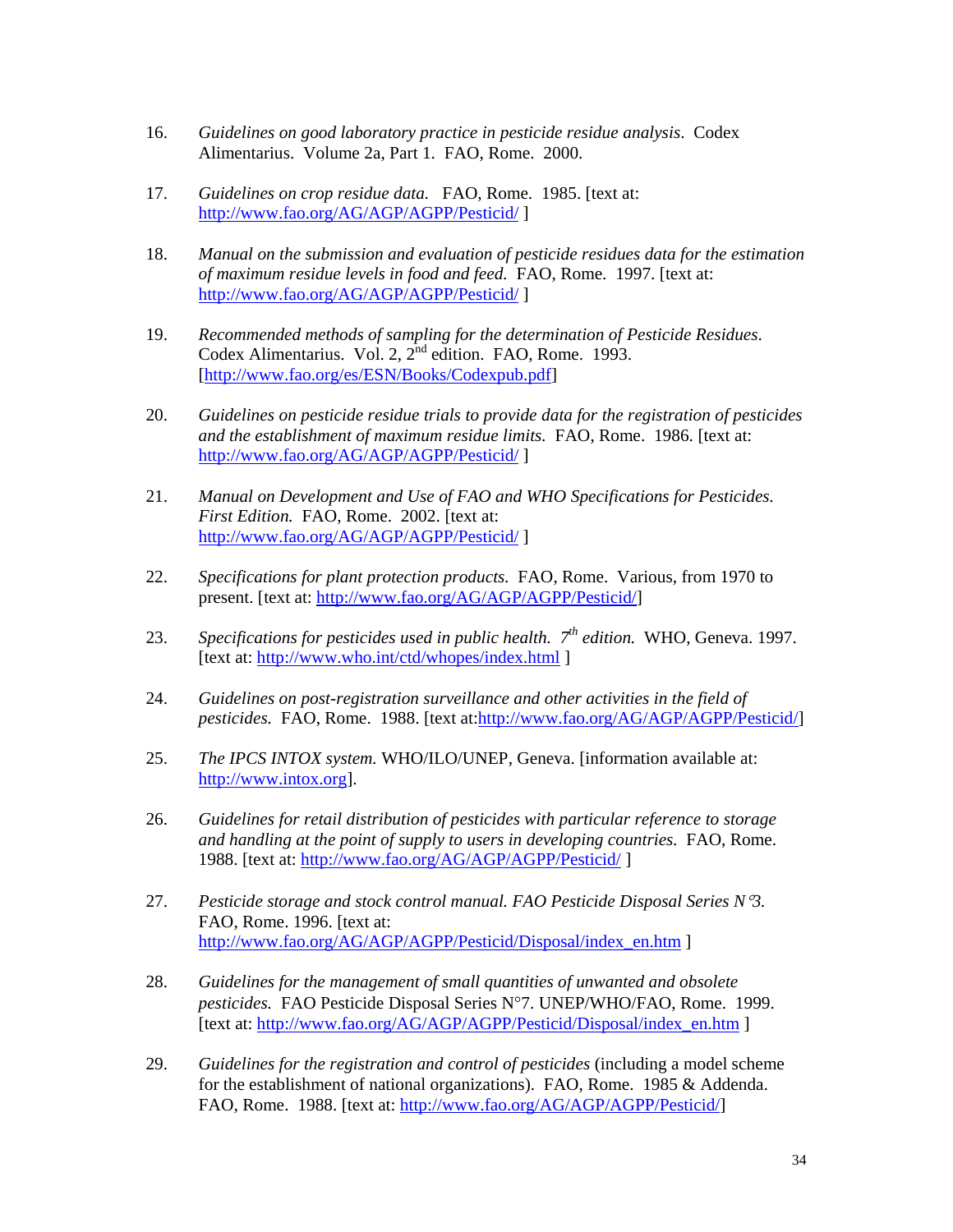- 16. *Guidelines on good laboratory practice in pesticide residue analysis*. Codex Alimentarius. Volume 2a, Part 1. FAO, Rome. 2000.
- 17. *Guidelines on crop residue data.* FAO, Rome. 1985. [text at: http://www.fao.org/AG/AGP/AGPP/Pesticid/ ]
- 18. *Manual on the submission and evaluation of pesticide residues data for the estimation of maximum residue levels in food and feed.* FAO, Rome. 1997. [text at: http://www.fao.org/AG/AGP/AGPP/Pesticid/ ]
- 19. *Recommended methods of sampling for the determination of Pesticide Residues*. Codex Alimentarius. Vol. 2, 2<sup>nd</sup> edition. FAO, Rome. 1993. [http://www.fao.org/es/ESN/Books/Codexpub.pdf]
- 20. *Guidelines on pesticide residue trials to provide data for the registration of pesticides and the establishment of maximum residue limits.* FAO, Rome. 1986. [text at: http://www.fao.org/AG/AGP/AGPP/Pesticid/ ]
- 21. *Manual on Development and Use of FAO and WHO Specifications for Pesticides. First Edition.* FAO, Rome. 2002. [text at: http://www.fao.org/AG/AGP/AGPP/Pesticid/ ]
- 22. *Specifications for plant protection products.* FAO, Rome. Various, from 1970 to present. [text at: http://www.fao.org/AG/AGP/AGPP/Pesticid/]
- 23. *Specifications for pesticides used in public health.*  $7<sup>th</sup>$  *edition.* WHO, Geneva. 1997. [text at: http://www.who.int/ctd/whopes/index.html ]
- 24. *Guidelines on post-registration surveillance and other activities in the field of pesticides.* FAO, Rome. 1988. [text at:http://www.fao.org/AG/AGP/AGPP/Pesticid/]
- 25. *The IPCS INTOX system.* WHO/ILO/UNEP, Geneva. [information available at: http://www.intox.org].
- 26. *Guidelines for retail distribution of pesticides with particular reference to storage and handling at the point of supply to users in developing countries.* FAO, Rome. 1988. [text at: http://www.fao.org/AG/AGP/AGPP/Pesticid/ ]
- 27. *Pesticide storage and stock control manual. FAO Pesticide Disposal Series N*°*3.* FAO, Rome. 1996. [text at: http://www.fao.org/AG/AGP/AGPP/Pesticid/Disposal/index\_en.htm ]
- 28. *Guidelines for the management of small quantities of unwanted and obsolete pesticides.* FAO Pesticide Disposal Series N°7. UNEP/WHO/FAO, Rome. 1999. [text at: http://www.fao.org/AG/AGP/AGPP/Pesticid/Disposal/index\_en.htm ]
- 29. *Guidelines for the registration and control of pesticides* (including a model scheme for the establishment of national organizations). FAO, Rome. 1985 & Addenda. FAO, Rome. 1988. [text at: http://www.fao.org/AG/AGP/AGPP/Pesticid/]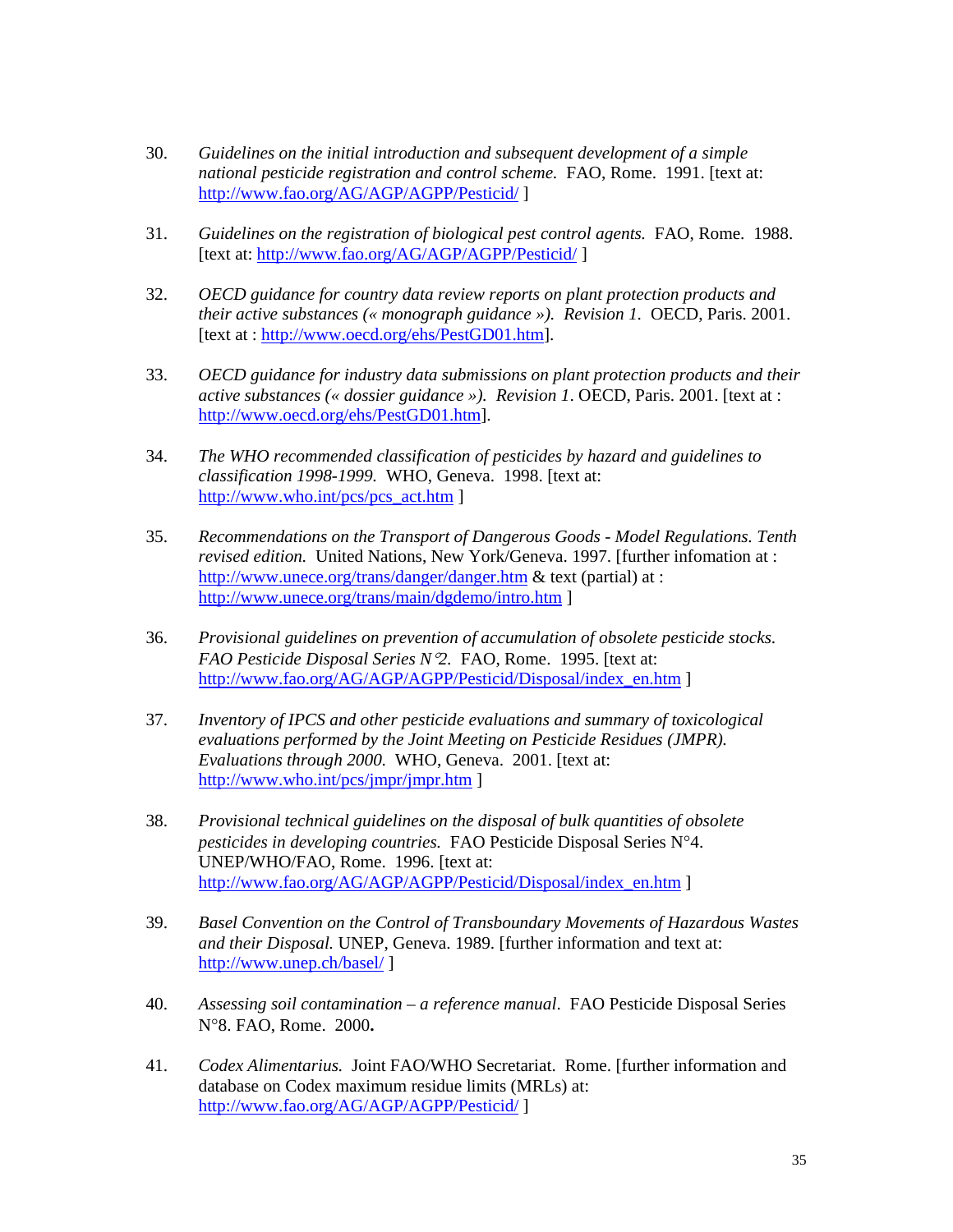- 30. *Guidelines on the initial introduction and subsequent development of a simple national pesticide registration and control scheme.* FAO, Rome. 1991. [text at: http://www.fao.org/AG/AGP/AGPP/Pesticid/ ]
- 31. *Guidelines on the registration of biological pest control agents.* FAO, Rome. 1988. [text at: http://www.fao.org/AG/AGP/AGPP/Pesticid/]
- 32. *OECD guidance for country data review reports on plant protection products and their active substances (« monograph guidance »). Revision 1.* OECD, Paris. 2001. [text at : http://www.oecd.org/ehs/PestGD01.htm].
- 33. *OECD guidance for industry data submissions on plant protection products and their active substances (« dossier guidance »). Revision 1*. OECD, Paris. 2001. [text at : http://www.oecd.org/ehs/PestGD01.htm].
- 34. *The WHO recommended classification of pesticides by hazard and guidelines to classification 1998-1999.* WHO, Geneva. 1998. [text at: http://www.who.int/pcs/pcs\_act.htm ]
- 35. *Recommendations on the Transport of Dangerous Goods Model Regulations. Tenth revised edition.* United Nations, New York/Geneva. 1997. [further infomation at : http://www.unece.org/trans/danger/danger.htm & text (partial) at : http://www.unece.org/trans/main/dgdemo/intro.htm ]
- 36. *Provisional guidelines on prevention of accumulation of obsolete pesticide stocks. FAO Pesticide Disposal Series N*°*2.* FAO, Rome. 1995. [text at: http://www.fao.org/AG/AGP/AGPP/Pesticid/Disposal/index\_en.htm ]
- 37. *Inventory of IPCS and other pesticide evaluations and summary of toxicological evaluations performed by the Joint Meeting on Pesticide Residues (JMPR). Evaluations through 2000.* WHO, Geneva. 2001. [text at: http://www.who.int/pcs/jmpr/jmpr.htm ]
- 38. *Provisional technical guidelines on the disposal of bulk quantities of obsolete pesticides in developing countries.* FAO Pesticide Disposal Series N°4. UNEP/WHO/FAO, Rome. 1996. [text at: http://www.fao.org/AG/AGP/AGPP/Pesticid/Disposal/index\_en.htm ]
- 39. *Basel Convention on the Control of Transboundary Movements of Hazardous Wastes and their Disposal.* UNEP, Geneva. 1989. [further information and text at: http://www.unep.ch/basel/ ]
- 40. *Assessing soil contamination a reference manual*. FAO Pesticide Disposal Series N°8. FAO, Rome. 2000**.**
- 41. *Codex Alimentarius.* Joint FAO/WHO Secretariat. Rome. [further information and database on Codex maximum residue limits (MRLs) at: http://www.fao.org/AG/AGP/AGPP/Pesticid/ ]